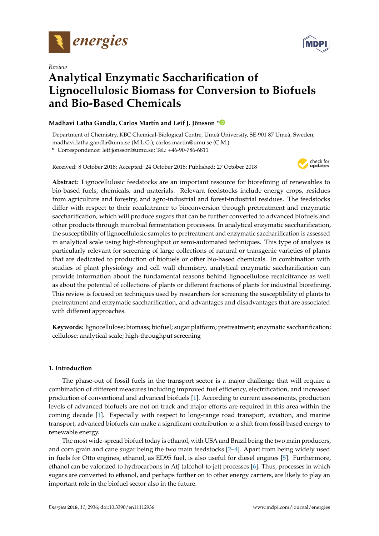

*Review*



# **Analytical Enzymatic Saccharification of Lignocellulosic Biomass for Conversion to Biofuels and Bio-Based Chemicals**

# **Madhavi Latha Gandla, Carlos Martín and Leif J. Jönsson [\\*](https://orcid.org/0000-0003-3866-0111)**

Department of Chemistry, KBC Chemical-Biological Centre, Umeå University, SE-901 87 Umeå, Sweden; madhavi.latha.gandla@umu.se (M.L.G.); carlos.martin@umu.se (C.M.)

**\*** Correspondence: leif.jonsson@umu.se; Tel.: +46-90-786-6811

Received: 8 October 2018; Accepted: 24 October 2018; Published: 27 October 2018



**Abstract:** Lignocellulosic feedstocks are an important resource for biorefining of renewables to bio-based fuels, chemicals, and materials. Relevant feedstocks include energy crops, residues from agriculture and forestry, and agro-industrial and forest-industrial residues. The feedstocks differ with respect to their recalcitrance to bioconversion through pretreatment and enzymatic saccharification, which will produce sugars that can be further converted to advanced biofuels and other products through microbial fermentation processes. In analytical enzymatic saccharification, the susceptibility of lignocellulosic samples to pretreatment and enzymatic saccharification is assessed in analytical scale using high-throughput or semi-automated techniques. This type of analysis is particularly relevant for screening of large collections of natural or transgenic varieties of plants that are dedicated to production of biofuels or other bio-based chemicals. In combination with studies of plant physiology and cell wall chemistry, analytical enzymatic saccharification can provide information about the fundamental reasons behind lignocellulose recalcitrance as well as about the potential of collections of plants or different fractions of plants for industrial biorefining. This review is focused on techniques used by researchers for screening the susceptibility of plants to pretreatment and enzymatic saccharification, and advantages and disadvantages that are associated with different approaches.

**Keywords:** lignocellulose; biomass; biofuel; sugar platform; pretreatment; enzymatic saccharification; cellulose; analytical scale; high-throughput screening

# **1. Introduction**

The phase-out of fossil fuels in the transport sector is a major challenge that will require a combination of different measures including improved fuel efficiency, electrification, and increased production of conventional and advanced biofuels [\[1\]](#page-15-0). According to current assessments, production levels of advanced biofuels are not on track and major efforts are required in this area within the coming decade [\[1\]](#page-15-0). Especially with respect to long-range road transport, aviation, and marine transport, advanced biofuels can make a significant contribution to a shift from fossil-based energy to renewable energy.

The most wide-spread biofuel today is ethanol, with USA and Brazil being the two main producers, and corn grain and cane sugar being the two main feedstocks [\[2](#page-15-1)[–4\]](#page-15-2). Apart from being widely used in fuels for Otto engines, ethanol, as ED95 fuel, is also useful for diesel engines [\[5\]](#page-15-3). Furthermore, ethanol can be valorized to hydrocarbons in AtJ (alcohol-to-jet) processes [\[6\]](#page-15-4). Thus, processes in which sugars are converted to ethanol, and perhaps further on to other energy carriers, are likely to play an important role in the biofuel sector also in the future.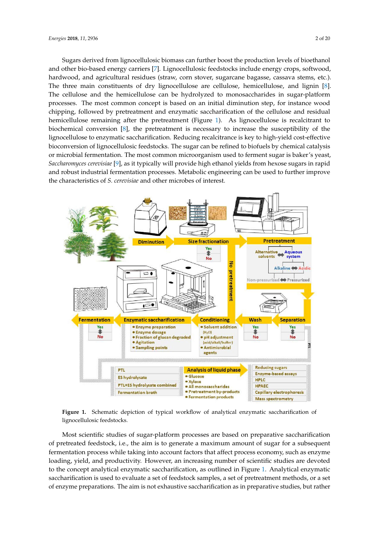Sugars derived from lignocellulosic biomass can further boost the production levels of bioethanol and other bio-based energy carriers [\[7\]](#page-15-5). Lignocellulosic feedstocks include energy crops, softwood, hardwood, and agricultural residues (straw, corn stover, sugarcane bagasse, cassava stems, etc.). The three main constituents of dry lignocellulose are cellulose, hemicellulose, and lignin [\[8\]](#page-15-6). The cellulose and the hemicellulose can be hydrolyzed to monosaccharides in sugar-platform processes. The most common concept is based on an initial diminution step, for instance wood chipping, followed by pretreatment and enzymatic saccharification of the cellulose and residual hemicellulose remaining after the pretreatment (Figure [1\)](#page-1-0). As lignocellulose is recalcitrant to biochemical conversion [\[8\]](#page-15-6), the pretreatment is necessary to increase the susceptibility of the lignocellulose to enzymatic saccharification. Reducing recalcitrance is key to high-yield cost-effective bioconversion of lignocellulosic feedstocks. The sugar can be refined to biofuels by chemical catalysis or microbial fermentation. The most common microorganism used to ferment sugar is baker's yeast, *Saccharomyces cerevisiae* [\[9\]](#page-15-7), as it typically will provide high ethanol yields from hexose sugars in rapid and robust industrial fermentation processes. Metabolic engineering can be used to further improve the characteristics of *S. cerevisiae* and other microbes of interest.

<span id="page-1-0"></span>

**Figure 1.** Schematic depiction of typical workflow of analytical enzymatic saccharification of **Figure 1.** Schematic depiction of typical workflow of analytical enzymatic saccharification of lignocellulosic feedstocks. lignocellulosic feedstocks.

Most scientific studies of sugar-platform processes are based on preparative saccharification fermentation process while taking into account factors that affect process economy, such as enzyme loading, yield, and productivity. However, an increasing number of scientific studies are devoted to the concept analytical enzymatic saccharification, as outlined in Figure [1.](#page-1-0) Analytical enzymatic saccharification is used to evaluate a set of feedstock samples, a set of pretreatment methods, or a set :<br>ionzymo proparations. The aim is of enzyme preparations. The aim is not exhaustive saccharification as in preparative studies, but rather of pretreated feedstock, i.e., the aim is to generate a maximum amount of sugar for a subsequent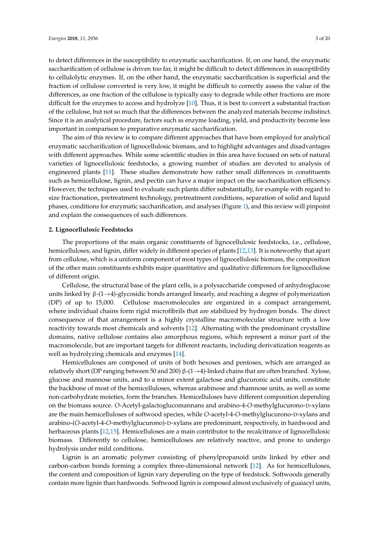to detect differences in the susceptibility to enzymatic saccharification. If, on one hand, the enzymatic saccharification of cellulose is driven too far, it might be difficult to detect differences in susceptibility to cellulolytic enzymes. If, on the other hand, the enzymatic saccharification is superficial and the fraction of cellulose converted is very low, it might be difficult to correctly assess the value of the differences, as one fraction of the cellulose is typically easy to degrade while other fractions are more difficult for the enzymes to access and hydrolyze [\[10\]](#page-15-8). Thus, it is best to convert a substantial fraction of the cellulose, but not so much that the differences between the analyzed materials become indistinct. Since it is an analytical procedure, factors such as enzyme loading, yield, and productivity become less important in comparison to preparative enzymatic saccharification.

The aim of this review is to compare different approaches that have been employed for analytical enzymatic saccharification of lignocellulosic biomass, and to highlight advantages and disadvantages with different approaches. While some scientific studies in this area have focused on sets of natural varieties of lignocellulosic feedstocks, a growing number of studies are devoted to analysis of engineered plants [\[11\]](#page-15-9). These studies demonstrate how rather small differences in constituents such as hemicellulose, lignin, and pectin can have a major impact on the saccharification efficiency. However, the techniques used to evaluate such plants differ substantially, for example with regard to size fractionation, pretreatment technology, pretreatment conditions, separation of solid and liquid phases, conditions for enzymatic saccharification, and analyses (Figure [1\)](#page-1-0), and this review will pinpoint and explain the consequences of such differences.

#### **2. Lignocellulosic Feedstocks**

The proportions of the main organic constituents of lignocellulosic feedstocks, i.e., cellulose, hemicelluloses, and lignin, differ widely in different species of plants [\[12](#page-15-10)[,13\]](#page-15-11). It is noteworthy that apart from cellulose, which is a uniform component of most types of lignocellulosic biomass, the composition of the other main constituents exhibits major quantitative and qualitative differences for lignocellulose of different origin.

Cellulose, the structural base of the plant cells, is a polysaccharide composed of anhydroglucose units linked by  $β-(1→4)$ -glycosidic bonds arranged linearly, and reaching a degree of polymerization (DP) of up to 15,000. Cellulose macromolecules are organized in a compact arrangement, where individual chains form rigid microfibrils that are stabilized by hydrogen bonds. The direct consequence of that arrangement is a highly crystalline macromolecular structure with a low reactivity towards most chemicals and solvents [\[12\]](#page-15-10). Alternating with the predominant crystalline domains, native cellulose contains also amorphous regions, which represent a minor part of the macromolecule, but are important targets for different reactants, including derivatization reagents as well as hydrolyzing chemicals and enzymes [\[14\]](#page-15-12).

Hemicelluloses are composed of units of both hexoses and pentoses, which are arranged as relatively short (DP ranging between 50 and 200)  $\beta$ -(1→4)-linked chains that are often branched. Xylose, glucose and mannose units, and to a minor extent galactose and glucuronic acid units, constitute the backbone of most of the hemicelluloses, whereas arabinose and rhamnose units, as well as some non-carbohydrate moieties, form the branches. Hemicelluloses have different composition depending on the biomass source. *O*-Acetyl-galactoglucomannans and arabino-4-*O*-methylglucurono-D-xylans are the main hemicelluloses of softwood species, while *O*-acetyl-4-*O*-methylglucurono-D-xylans and arabino-(*O*-acetyl-4-*O*-methylglucurono)-D-xylans are predominant, respectively, in hardwood and herbaceous plants [\[12](#page-15-10)[,15\]](#page-15-13). Hemicelluloses are a main contributor to the recalcitrance of lignocellulosic biomass. Differently to cellulose, hemicelluloses are relatively reactive, and prone to undergo hydrolysis under mild conditions.

Lignin is an aromatic polymer consisting of phenylpropanoid units linked by ether and carbon-carbon bonds forming a complex three-dimensional network [\[12\]](#page-15-10). As for hemicelluloses, the content and composition of lignin vary depending on the type of feedstock. Softwoods generally contain more lignin than hardwoods. Softwood lignin is composed almost exclusively of guaiacyl units,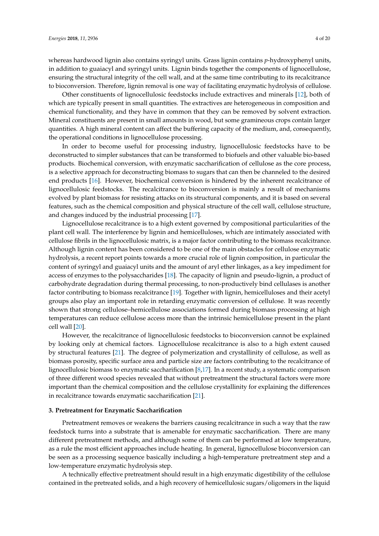whereas hardwood lignin also contains syringyl units. Grass lignin contains *p*-hydroxyphenyl units, in addition to guaiacyl and syringyl units. Lignin binds together the components of lignocellulose, ensuring the structural integrity of the cell wall, and at the same time contributing to its recalcitrance to bioconversion. Therefore, lignin removal is one way of facilitating enzymatic hydrolysis of cellulose.

Other constituents of lignocellulosic feedstocks include extractives and minerals [\[12\]](#page-15-10), both of which are typically present in small quantities. The extractives are heterogeneous in composition and chemical functionality, and they have in common that they can be removed by solvent extraction. Mineral constituents are present in small amounts in wood, but some gramineous crops contain larger quantities. A high mineral content can affect the buffering capacity of the medium, and, consequently, the operational conditions in lignocellulose processing.

In order to become useful for processing industry, lignocellulosic feedstocks have to be deconstructed to simpler substances that can be transformed to biofuels and other valuable bio-based products. Biochemical conversion, with enzymatic saccharification of cellulose as the core process, is a selective approach for deconstructing biomass to sugars that can then be channeled to the desired end products [\[16\]](#page-15-14). However, biochemical conversion is hindered by the inherent recalcitrance of lignocellulosic feedstocks. The recalcitrance to bioconversion is mainly a result of mechanisms evolved by plant biomass for resisting attacks on its structural components, and it is based on several features, such as the chemical composition and physical structure of the cell wall, cellulose structure, and changes induced by the industrial processing [\[17\]](#page-15-15).

Lignocellulose recalcitrance is to a high extent governed by compositional particularities of the plant cell wall. The interference by lignin and hemicelluloses, which are intimately associated with cellulose fibrils in the lignocellulosic matrix, is a major factor contributing to the biomass recalcitrance. Although lignin content has been considered to be one of the main obstacles for cellulose enzymatic hydrolysis, a recent report points towards a more crucial role of lignin composition, in particular the content of syringyl and guaiacyl units and the amount of aryl ether linkages, as a key impediment for access of enzymes to the polysaccharides [\[18\]](#page-15-16). The capacity of lignin and pseudo-lignin, a product of carbohydrate degradation during thermal processing, to non-productively bind cellulases is another factor contributing to biomass recalcitrance [\[19\]](#page-15-17). Together with lignin, hemicelluloses and their acetyl groups also play an important role in retarding enzymatic conversion of cellulose. It was recently shown that strong cellulose–hemicellulose associations formed during biomass processing at high temperatures can reduce cellulose access more than the intrinsic hemicellulose present in the plant cell wall [\[20\]](#page-15-18).

However, the recalcitrance of lignocellulosic feedstocks to bioconversion cannot be explained by looking only at chemical factors. Lignocellulose recalcitrance is also to a high extent caused by structural features [\[21\]](#page-15-19). The degree of polymerization and crystallinity of cellulose, as well as biomass porosity, specific surface area and particle size are factors contributing to the recalcitrance of lignocellulosic biomass to enzymatic saccharification [\[8,](#page-15-6)[17\]](#page-15-15). In a recent study, a systematic comparison of three different wood species revealed that without pretreatment the structural factors were more important than the chemical composition and the cellulose crystallinity for explaining the differences in recalcitrance towards enzymatic saccharification [\[21\]](#page-15-19).

#### **3. Pretreatment for Enzymatic Saccharification**

Pretreatment removes or weakens the barriers causing recalcitrance in such a way that the raw feedstock turns into a substrate that is amenable for enzymatic saccharification. There are many different pretreatment methods, and although some of them can be performed at low temperature, as a rule the most efficient approaches include heating. In general, lignocellulose bioconversion can be seen as a processing sequence basically including a high-temperature pretreatment step and a low-temperature enzymatic hydrolysis step.

A technically effective pretreatment should result in a high enzymatic digestibility of the cellulose contained in the pretreated solids, and a high recovery of hemicellulosic sugars/oligomers in the liquid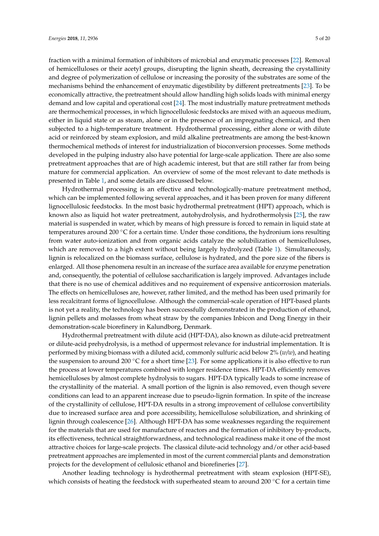fraction with a minimal formation of inhibitors of microbial and enzymatic processes [\[22\]](#page-16-0). Removal of hemicelluloses or their acetyl groups, disrupting the lignin sheath, decreasing the crystallinity and degree of polymerization of cellulose or increasing the porosity of the substrates are some of the mechanisms behind the enhancement of enzymatic digestibility by different pretreatments [\[23\]](#page-16-1). To be economically attractive, the pretreatment should allow handling high solids loads with minimal energy demand and low capital and operational cost [\[24\]](#page-16-2). The most industrially mature pretreatment methods are thermochemical processes, in which lignocellulosic feedstocks are mixed with an aqueous medium, either in liquid state or as steam, alone or in the presence of an impregnating chemical, and then subjected to a high-temperature treatment. Hydrothermal processing, either alone or with dilute acid or reinforced by steam explosion, and mild alkaline pretreatments are among the best-known thermochemical methods of interest for industrialization of bioconversion processes. Some methods developed in the pulping industry also have potential for large-scale application. There are also some pretreatment approaches that are of high academic interest, but that are still rather far from being mature for commercial application. An overview of some of the most relevant to date methods is presented in Table [1,](#page-7-0) and some details are discussed below.

Hydrothermal processing is an effective and technologically-mature pretreatment method, which can be implemented following several approaches, and it has been proven for many different lignocellulosic feedstocks. In the most basic hydrothermal pretreatment (HPT) approach, which is known also as liquid hot water pretreatment, autohydrolysis, and hydrothermolysis [\[25\]](#page-16-3), the raw material is suspended in water, which by means of high pressure is forced to remain in liquid state at temperatures around 200 ℃ for a certain time. Under those conditions, the hydronium ions resulting from water auto-ionization and from organic acids catalyze the solubilization of hemicelluloses, which are removed to a high extent without being largely hydrolyzed (Table [1\)](#page-7-0). Simultaneously, lignin is relocalized on the biomass surface, cellulose is hydrated, and the pore size of the fibers is enlarged. All those phenomena result in an increase of the surface area available for enzyme penetration and, consequently, the potential of cellulose saccharification is largely improved. Advantages include that there is no use of chemical additives and no requirement of expensive anticorrosion materials. The effects on hemicelluloses are, however, rather limited, and the method has been used primarily for less recalcitrant forms of lignocellulose. Although the commercial-scale operation of HPT-based plants is not yet a reality, the technology has been successfully demonstrated in the production of ethanol, lignin pellets and molasses from wheat straw by the companies Inbicon and Dong Energy in their demonstration-scale biorefinery in Kalundborg, Denmark.

Hydrothermal pretreatment with dilute acid (HPT-DA), also known as dilute-acid pretreatment or dilute-acid prehydrolysis, is a method of uppermost relevance for industrial implementation. It is performed by mixing biomass with a diluted acid, commonly sulfuric acid below 2% (*w/w*), and heating the suspension to around 200  $\degree$ C for a short time [\[23\]](#page-16-1). For some applications it is also effective to run the process at lower temperatures combined with longer residence times. HPT-DA efficiently removes hemicelluloses by almost complete hydrolysis to sugars. HPT-DA typically leads to some increase of the crystallinity of the material. A small portion of the lignin is also removed, even though severe conditions can lead to an apparent increase due to pseudo-lignin formation. In spite of the increase of the crystallinity of cellulose, HPT-DA results in a strong improvement of cellulose convertibility due to increased surface area and pore accessibility, hemicellulose solubilization, and shrinking of lignin through coalescence [\[26\]](#page-16-4). Although HPT-DA has some weaknesses regarding the requirement for the materials that are used for manufacture of reactors and the formation of inhibitory by-products, its effectiveness, technical straightforwardness, and technological readiness make it one of the most attractive choices for large-scale projects. The classical dilute-acid technology and/or other acid-based pretreatment approaches are implemented in most of the current commercial plants and demonstration projects for the development of cellulosic ethanol and biorefineries [\[27\]](#page-16-5).

Another leading technology is hydrothermal pretreatment with steam explosion (HPT-SE), which consists of heating the feedstock with superheated steam to around 200 °C for a certain time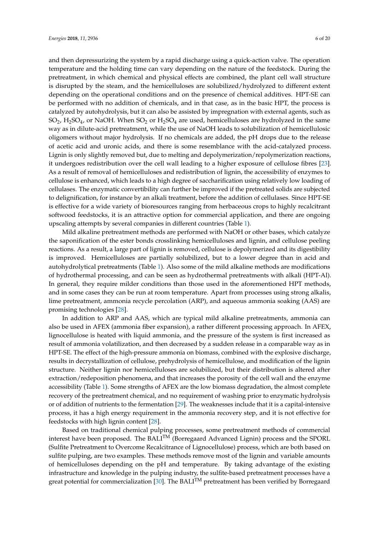and then depressurizing the system by a rapid discharge using a quick-action valve. The operation temperature and the holding time can vary depending on the nature of the feedstock. During the pretreatment, in which chemical and physical effects are combined, the plant cell wall structure is disrupted by the steam, and the hemicelluloses are solubilized/hydrolyzed to different extent depending on the operational conditions and on the presence of chemical additives. HPT-SE can be performed with no addition of chemicals, and in that case, as in the basic HPT, the process is catalyzed by autohydrolysis, but it can also be assisted by impregnation with external agents, such as  $SO_2$ ,  $H_2SO_4$ , or NaOH. When  $SO_2$  or  $H_2SO_4$  are used, hemicelluloses are hydrolyzed in the same way as in dilute-acid pretreatment, while the use of NaOH leads to solubilization of hemicellulosic oligomers without major hydrolysis. If no chemicals are added, the pH drops due to the release of acetic acid and uronic acids, and there is some resemblance with the acid-catalyzed process. Lignin is only slightly removed but, due to melting and depolymerization/repolymerization reactions, it undergoes redistribution over the cell wall leading to a higher exposure of cellulose fibres [\[23\]](#page-16-1). As a result of removal of hemicelluloses and redistribution of lignin, the accessibility of enzymes to cellulose is enhanced, which leads to a high degree of saccharification using relatively low loading of cellulases. The enzymatic convertibility can further be improved if the pretreated solids are subjected to delignification, for instance by an alkali treatment, before the addition of cellulases. Since HPT-SE is effective for a wide variety of bioresources ranging from herbaceous crops to highly recalcitrant softwood feedstocks, it is an attractive option for commercial application, and there are ongoing upscaling attempts by several companies in different countries (Table [1\)](#page-7-0).

Mild alkaline pretreatment methods are performed with NaOH or other bases, which catalyze the saponification of the ester bonds crosslinking hemicelluloses and lignin, and cellulose peeling reactions. As a result, a large part of lignin is removed, cellulose is depolymerized and its digestibility is improved. Hemicelluloses are partially solubilized, but to a lower degree than in acid and autohydrolytical pretreatments (Table [1\)](#page-7-0). Also some of the mild alkaline methods are modifications of hydrothermal processing, and can be seen as hydrothermal pretreatments with alkali (HPT-Al). In general, they require milder conditions than those used in the aforementioned HPT methods, and in some cases they can be run at room temperature. Apart from processes using strong alkalis, lime pretreatment, ammonia recycle percolation (ARP), and aqueous ammonia soaking (AAS) are promising technologies [\[28\]](#page-16-6).

In addition to ARP and AAS, which are typical mild alkaline pretreatments, ammonia can also be used in AFEX (ammonia fiber expansion), a rather different processing approach. In AFEX, lignocellulose is heated with liquid ammonia, and the pressure of the system is first increased as result of ammonia volatilization, and then decreased by a sudden release in a comparable way as in HPT-SE. The effect of the high-pressure ammonia on biomass, combined with the explosive discharge, results in decrystallization of cellulose, prehydrolysis of hemicellulose, and modification of the lignin structure. Neither lignin nor hemicelluloses are solubilized, but their distribution is altered after extraction/redeposition phenomena, and that increases the porosity of the cell wall and the enzyme accessibility (Table [1\)](#page-7-0). Some strengths of AFEX are the low biomass degradation, the almost complete recovery of the pretreatment chemical, and no requirement of washing prior to enzymatic hydrolysis or of addition of nutrients to the fermentation [\[29\]](#page-16-7). The weaknesses include that it is a capital-intensive process, it has a high energy requirement in the ammonia recovery step, and it is not effective for feedstocks with high lignin content [\[28\]](#page-16-6).

Based on traditional chemical pulping processes, some pretreatment methods of commercial interest have been proposed. The  $BALI^{TM}$  (Borregaard Advanced Lignin) process and the SPORL (Sulfite Pretreatment to Overcome Recalcitrance of Lignocellulose) process, which are both based on sulfite pulping, are two examples. These methods remove most of the lignin and variable amounts of hemicelluloses depending on the pH and temperature. By taking advantage of the existing infrastructure and knowledge in the pulping industry, the sulfite-based pretreatment processes have a great potential for commercialization [\[30\]](#page-16-8). The BALI<sup>TM</sup> pretreatment has been verified by Borregaard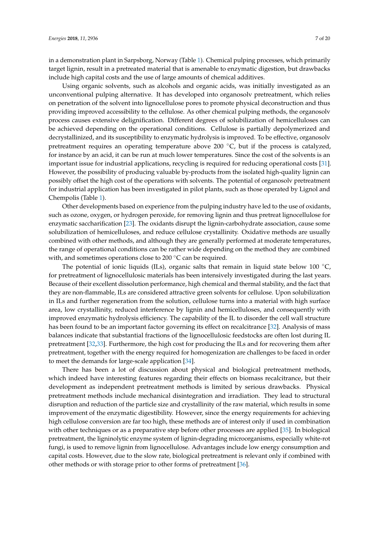in a demonstration plant in Sarpsborg, Norway (Table [1\)](#page-7-0). Chemical pulping processes, which primarily target lignin, result in a pretreated material that is amenable to enzymatic digestion, but drawbacks include high capital costs and the use of large amounts of chemical additives.

Using organic solvents, such as alcohols and organic acids, was initially investigated as an unconventional pulping alternative. It has developed into organosolv pretreatment, which relies on penetration of the solvent into lignocellulose pores to promote physical deconstruction and thus providing improved accessibility to the cellulose. As other chemical pulping methods, the organosolv process causes extensive delignification. Different degrees of solubilization of hemicelluloses can be achieved depending on the operational conditions. Cellulose is partially depolymerized and decrystallinized, and its susceptibility to enzymatic hydrolysis is improved. To be effective, organosolv pretreatment requires an operating temperature above 200 °C, but if the process is catalyzed, for instance by an acid, it can be run at much lower temperatures. Since the cost of the solvents is an important issue for industrial applications, recycling is required for reducing operational costs [\[31\]](#page-16-9). However, the possibility of producing valuable by-products from the isolated high-quality lignin can possibly offset the high cost of the operations with solvents. The potential of organosolv pretreatment for industrial application has been investigated in pilot plants, such as those operated by Lignol and Chempolis (Table [1\)](#page-7-0).

Other developments based on experience from the pulping industry have led to the use of oxidants, such as ozone, oxygen, or hydrogen peroxide, for removing lignin and thus pretreat lignocellulose for enzymatic saccharification [\[23\]](#page-16-1). The oxidants disrupt the lignin-carbohydrate association, cause some solubilization of hemicelluloses, and reduce cellulose crystallinity. Oxidative methods are usually combined with other methods, and although they are generally performed at moderate temperatures, the range of operational conditions can be rather wide depending on the method they are combined with, and sometimes operations close to 200  $^{\circ}\textrm{C}$  can be required.

The potential of ionic liquids (ILs), organic salts that remain in liquid state below 100  $\degree$ C, for pretreatment of lignocellulosic materials has been intensively investigated during the last years. Because of their excellent dissolution performance, high chemical and thermal stability, and the fact that they are non-flammable, ILs are considered attractive green solvents for cellulose. Upon solubilization in ILs and further regeneration from the solution, cellulose turns into a material with high surface area, low crystallinity, reduced interference by lignin and hemicelluloses, and consequently with improved enzymatic hydrolysis efficiency. The capability of the IL to disorder the cell wall structure has been found to be an important factor governing its effect on recalcitrance [\[32\]](#page-16-10). Analysis of mass balances indicate that substantial fractions of the lignocellulosic feedstocks are often lost during IL pretreatment [\[32,](#page-16-10)[33\]](#page-16-11). Furthermore, the high cost for producing the ILs and for recovering them after pretreatment, together with the energy required for homogenization are challenges to be faced in order to meet the demands for large-scale application [\[34\]](#page-16-12).

There has been a lot of discussion about physical and biological pretreatment methods, which indeed have interesting features regarding their effects on biomass recalcitrance, but their development as independent pretreatment methods is limited by serious drawbacks. Physical pretreatment methods include mechanical disintegration and irradiation. They lead to structural disruption and reduction of the particle size and crystallinity of the raw material, which results in some improvement of the enzymatic digestibility. However, since the energy requirements for achieving high cellulose conversion are far too high, these methods are of interest only if used in combination with other techniques or as a preparative step before other processes are applied [\[35\]](#page-16-13). In biological pretreatment, the ligninolytic enzyme system of lignin-degrading microorganisms, especially white-rot fungi, is used to remove lignin from lignocellulose. Advantages include low energy consumption and capital costs. However, due to the slow rate, biological pretreatment is relevant only if combined with other methods or with storage prior to other forms of pretreatment [\[36\]](#page-16-14).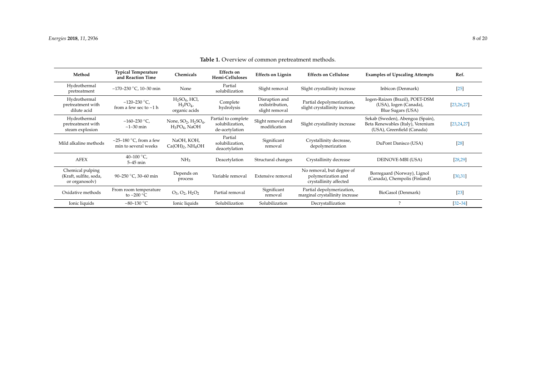<span id="page-7-0"></span>

| Method                                                       | <b>Typical Temperature</b><br>and Reaction Time          | Chemicals                                      | <b>Effects</b> on<br>Hemi-Celluloses                     | <b>Effects on Lignin</b>                            | <b>Effects on Cellulose</b>                                               | <b>Examples of Upscaling Attempts</b>                                                               | Ref.              |
|--------------------------------------------------------------|----------------------------------------------------------|------------------------------------------------|----------------------------------------------------------|-----------------------------------------------------|---------------------------------------------------------------------------|-----------------------------------------------------------------------------------------------------|-------------------|
| Hydrothermal<br>pretreatment                                 | ~170-230 °C, 10-30 min                                   | None                                           | Partial<br>solubilization                                | Slight removal                                      | Slight crystallinity increase                                             | Inbicon (Denmark)                                                                                   | $[25]$            |
| Hydrothermal<br>pretreatment with<br>dilute acid             | ~120-230 °C,<br>from a few sec to $\sim$ 1 h             | $H2SO4$ , HCl,<br>$H_3PO_4$<br>organic acids   | Complete<br>hydrolysis                                   | Disruption and<br>redistribution,<br>slight removal | Partial depolymerization,<br>slight crystallinity increase                | Iogen-Raízen (Brazil), POET-DSM<br>(USA), Iogen (Canada),<br>Blue Sugars (USA)                      | [23, 26, 27]      |
| Hydrothermal<br>pretreatment with<br>steam explosion         | ~160-230 °C,<br>$\sim$ 1-30 min                          | None, $SO_2$ , $H_2SO_4$ ,<br>$H_3PO_4$ , NaOH | Partial to complete<br>solubilization,<br>de-acetylation | Slight removal and<br>modification                  | Slight crystallinity increase                                             | Sekab (Sweden), Abengoa (Spain),<br>Beta Renewables (Italy), Verenium<br>(USA), Greenfield (Canada) | [23, 24, 27]      |
| Mild alkaline methods                                        | ~25–180 $^{\circ}$ C, from a few<br>min to several weeks | NaOH, KOH,<br>$Ca(OH)2$ , NH <sub>4</sub> OH   | Partial<br>solubilization,<br>deacetylation              | Significant<br>removal                              | Crystallinity decrease,<br>depolymerization                               | DuPont Danisco (USA)                                                                                | $\left[28\right]$ |
| <b>AFEX</b>                                                  | 40-100 $\,^{\circ}$ C,<br>$5-45$ min                     | NH <sub>3</sub>                                | Deacetylation                                            | Structural changes                                  | Crystallinity decrease                                                    | DEINOVE-MBI (USA)                                                                                   | [28, 29]          |
| Chemical pulping<br>(Kraft, sulfite, soda,<br>or organosoly) | 90-250 °C, 30-60 min                                     | Depends on<br>process                          | Variable removal                                         | Extensive removal                                   | No removal, but degree of<br>polymerization and<br>crystallinity affected | Borregaard (Norway), Lignol<br>(Canada), Chempolis (Finland)                                        | [30, 31]          |
| Oxidative methods                                            | From room temperature<br>to ~200 $^{\circ}$ C            | $O_3$ , $O_2$ , $H_2O_2$                       | Partial removal                                          | Significant<br>removal                              | Partial depolymerization,<br>marginal crystallinity increase              | BioGasol (Denmark)                                                                                  | [23]              |
| Ionic liquids                                                | ~80-130 °C                                               | Ionic liquids                                  | Solubilization                                           | Solubilization                                      | Decrystallization                                                         |                                                                                                     | $[32 - 34]$       |

**Table 1.** Overview of common pretreatment methods.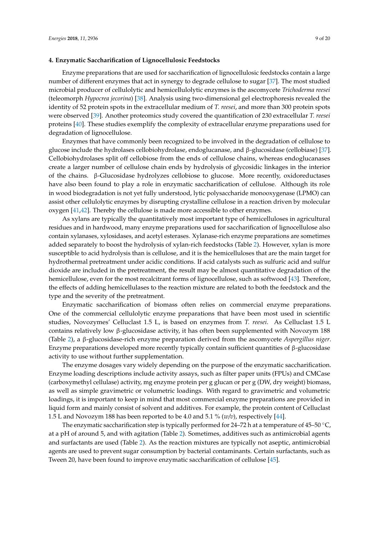Enzyme preparations that are used for saccharification of lignocellulosic feedstocks contain a large number of different enzymes that act in synergy to degrade cellulose to sugar [\[37\]](#page-16-26). The most studied microbial producer of cellulolytic and hemicellulolytic enzymes is the ascomycete *Trichoderma reesei* (teleomorph *Hypocrea jecorina*) [\[38\]](#page-16-27). Analysis using two-dimensional gel electrophoresis revealed the identity of 52 protein spots in the extracellular medium of *T. reesei*, and more than 300 protein spots were observed [\[39\]](#page-16-28). Another proteomics study covered the quantification of 230 extracellular *T. reesei* proteins [\[40\]](#page-16-29). These studies exemplify the complexity of extracellular enzyme preparations used for degradation of lignocellulose.

Enzymes that have commonly been recognized to be involved in the degradation of cellulose to glucose include the hydrolases cellobiohydrolase, endoglucanase, and β-glucosidase (cellobiase) [\[37\]](#page-16-26). Cellobiohydrolases split off cellobiose from the ends of cellulose chains, whereas endoglucanases create a larger number of cellulose chain ends by hydrolysis of glycosidic linkages in the interior of the chains. β-Glucosidase hydrolyzes cellobiose to glucose. More recently, oxidoreductases have also been found to play a role in enzymatic saccharification of cellulose. Although its role in wood biodegradation is not yet fully understood, lytic polysaccharide monooxygenase (LPMO) can assist other cellulolytic enzymes by disrupting crystalline cellulose in a reaction driven by molecular oxygen [\[41,](#page-16-30)[42\]](#page-16-31). Thereby the cellulose is made more accessible to other enzymes.

As xylans are typically the quantitatively most important type of hemicelluloses in agricultural residues and in hardwood, many enzyme preparations used for saccharification of lignocellulose also contain xylanases, xylosidases, and acetyl esterases. Xylanase-rich enzyme preparations are sometimes added separately to boost the hydrolysis of xylan-rich feedstocks (Table [2\)](#page-11-0). However, xylan is more susceptible to acid hydrolysis than is cellulose, and it is the hemicelluloses that are the main target for hydrothermal pretreatment under acidic conditions. If acid catalysts such as sulfuric acid and sulfur dioxide are included in the pretreatment, the result may be almost quantitative degradation of the hemicellulose, even for the most recalcitrant forms of lignocellulose, such as softwood [\[43\]](#page-17-0). Therefore, the effects of adding hemicellulases to the reaction mixture are related to both the feedstock and the type and the severity of the pretreatment.

Enzymatic saccharification of biomass often relies on commercial enzyme preparations. One of the commercial cellulolytic enzyme preparations that have been most used in scientific studies, Novozymes' Celluclast 1.5 L, is based on enzymes from *T. reesei*. As Celluclast 1.5 L contains relatively low β-glucosidase activity, it has often been supplemented with Novozym 188 (Table [2\)](#page-11-0), a β-glucosidase-rich enzyme preparation derived from the ascomycete *Aspergillus niger*. Enzyme preparations developed more recently typically contain sufficient quantities of β-glucosidase activity to use without further supplementation.

The enzyme dosages vary widely depending on the purpose of the enzymatic saccharification. Enzyme loading descriptions include activity assays, such as filter paper units (FPUs) and CMCase (carboxymethyl cellulase) activity, mg enzyme protein per g glucan or per g (DW, dry weight) biomass, as well as simple gravimetric or volumetric loadings. With regard to gravimetric and volumetric loadings, it is important to keep in mind that most commercial enzyme preparations are provided in liquid form and mainly consist of solvent and additives. For example, the protein content of Celluclast 1.5 L and Novozym 188 has been reported to be 4.0 and 5.1 % (*w/v*), respectively [\[44\]](#page-17-1).

The enzymatic saccharification step is typically performed for 24–72 h at a temperature of 45–50  $^{\circ}$ C, at a pH of around 5, and with agitation (Table [2\)](#page-11-0). Sometimes, additives such as antimicrobial agents and surfactants are used (Table [2\)](#page-11-0). As the reaction mixtures are typically not aseptic, antimicrobial agents are used to prevent sugar consumption by bacterial contaminants. Certain surfactants, such as Tween 20, have been found to improve enzymatic saccharification of cellulose [\[45\]](#page-17-2).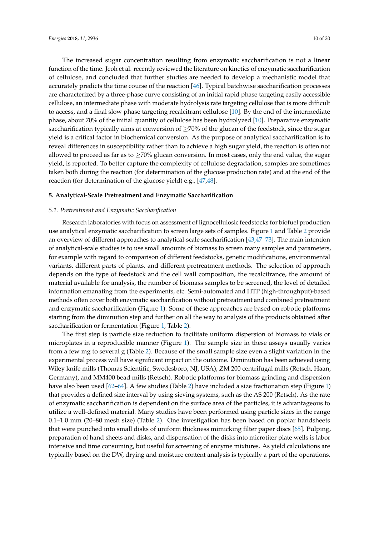The increased sugar concentration resulting from enzymatic saccharification is not a linear function of the time. Jeoh et al. recently reviewed the literature on kinetics of enzymatic saccharification of cellulose, and concluded that further studies are needed to develop a mechanistic model that accurately predicts the time course of the reaction [\[46\]](#page-17-3). Typical batchwise saccharification processes are characterized by a three-phase curve consisting of an initial rapid phase targeting easily accessible cellulose, an intermediate phase with moderate hydrolysis rate targeting cellulose that is more difficult to access, and a final slow phase targeting recalcitrant cellulose [\[10\]](#page-15-8). By the end of the intermediate phase, about 70% of the initial quantity of cellulose has been hydrolyzed [\[10\]](#page-15-8). Preparative enzymatic saccharification typically aims at conversion of  $\geq$ 70% of the glucan of the feedstock, since the sugar yield is a critical factor in biochemical conversion. As the purpose of analytical saccharification is to reveal differences in susceptibility rather than to achieve a high sugar yield, the reaction is often not allowed to proceed as far as to  $\geq 70\%$  glucan conversion. In most cases, only the end value, the sugar yield, is reported. To better capture the complexity of cellulose degradation, samples are sometimes taken both during the reaction (for determination of the glucose production rate) and at the end of the reaction (for determination of the glucose yield) e.g., [\[47](#page-17-4)[,48\]](#page-17-5).

### **5. Analytical-Scale Pretreatment and Enzymatic Saccharification**

## *5.1. Pretreatment and Enzymatic Saccharification*

Research laboratories with focus on assessment of lignocellulosic feedstocks for biofuel production use analytical enzymatic saccharification to screen large sets of samples. Figure [1](#page-1-0) and Table [2](#page-11-0) provide an overview of different approaches to analytical-scale saccharification [\[43,](#page-17-0)[47–](#page-17-4)[73\]](#page-18-0). The main intention of analytical-scale studies is to use small amounts of biomass to screen many samples and parameters, for example with regard to comparison of different feedstocks, genetic modifications, environmental variants, different parts of plants, and different pretreatment methods. The selection of approach depends on the type of feedstock and the cell wall composition, the recalcitrance, the amount of material available for analysis, the number of biomass samples to be screened, the level of detailed information emanating from the experiments, etc. Semi-automated and HTP (high-throughput)-based methods often cover both enzymatic saccharification without pretreatment and combined pretreatment and enzymatic saccharification (Figure [1\)](#page-1-0). Some of these approaches are based on robotic platforms starting from the diminution step and further on all the way to analysis of the products obtained after saccharification or fermentation (Figure [1,](#page-1-0) Table [2\)](#page-11-0).

The first step is particle size reduction to facilitate uniform dispersion of biomass to vials or microplates in a reproducible manner (Figure [1\)](#page-1-0). The sample size in these assays usually varies from a few mg to several g (Table [2\)](#page-11-0). Because of the small sample size even a slight variation in the experimental process will have significant impact on the outcome. Diminution has been achieved using Wiley knife mills (Thomas Scientific, Swedesboro, NJ, USA), ZM 200 centrifugal mills (Retsch, Haan, Germany), and MM400 bead mills (Retsch). Robotic platforms for biomass grinding and dispersion have also been used [\[62](#page-18-1)[–64\]](#page-18-2). A few studies (Table [2\)](#page-11-0) have included a size fractionation step (Figure [1\)](#page-1-0) that provides a defined size interval by using sieving systems, such as the AS 200 (Retsch). As the rate of enzymatic saccharification is dependent on the surface area of the particles, it is advantageous to utilize a well-defined material. Many studies have been performed using particle sizes in the range 0.1–1.0 mm (20–80 mesh size) (Table [2\)](#page-11-0). One investigation has been based on poplar handsheets that were punched into small disks of uniform thickness mimicking filter paper discs [\[65\]](#page-18-3). Pulping, preparation of hand sheets and disks, and dispensation of the disks into microtiter plate wells is labor intensive and time consuming, but useful for screening of enzyme mixtures. As yield calculations are typically based on the DW, drying and moisture content analysis is typically a part of the operations.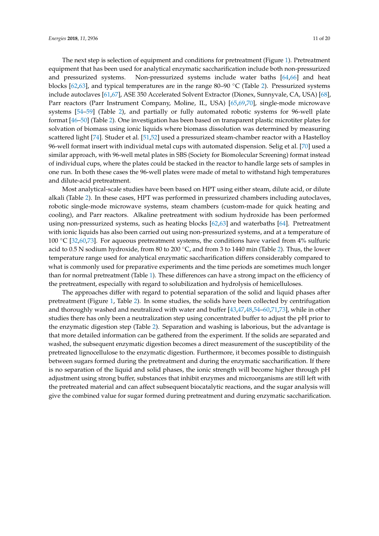The next step is selection of equipment and conditions for pretreatment (Figure [1\)](#page-1-0). Pretreatment equipment that has been used for analytical enzymatic saccharification include both non-pressurized and pressurized systems. Non-pressurized systems include water baths [\[64,](#page-18-2)[66\]](#page-18-4) and heat blocks [\[62](#page-18-1)[,63\]](#page-18-5), and typical temperatures are in the range 80–90 ◦C (Table [2\)](#page-11-0). Pressurized systems include autoclaves [\[61](#page-18-6)[,67\]](#page-18-7), ASE 350 Accelerated Solvent Extractor (Dionex, Sunnyvale, CA, USA) [\[68\]](#page-18-8), Parr reactors (Parr Instrument Company, Moline, IL, USA) [\[65](#page-18-3)[,69](#page-18-9)[,70\]](#page-18-10), single-mode microwave systems [\[54–](#page-17-6)[59\]](#page-17-7) (Table [2\)](#page-11-0), and partially or fully automated robotic systems for 96-well plate format [\[46–](#page-17-3)[50\]](#page-17-8) (Table [2\)](#page-11-0). One investigation has been based on transparent plastic microtiter plates for solvation of biomass using ionic liquids where biomass dissolution was determined by measuring scattered light [\[74\]](#page-18-11). Studer et al. [\[51](#page-17-9)[,52\]](#page-17-10) used a pressurized steam-chamber reactor with a Hastelloy 96-well format insert with individual metal cups with automated dispension. Selig et al. [\[70\]](#page-18-10) used a similar approach, with 96-well metal plates in SBS (Society for Biomolecular Screening) format instead of individual cups, where the plates could be stacked in the reactor to handle large sets of samples in one run. In both these cases the 96-well plates were made of metal to withstand high temperatures and dilute-acid pretreatment.

Most analytical-scale studies have been based on HPT using either steam, dilute acid, or dilute alkali (Table [2\)](#page-11-0). In these cases, HPT was performed in pressurized chambers including autoclaves, robotic single-mode microwave systems, steam chambers (custom-made for quick heating and cooling), and Parr reactors. Alkaline pretreatment with sodium hydroxide has been performed using non-pressurized systems, such as heating blocks [\[62,](#page-18-1)[63\]](#page-18-5) and waterbaths [\[64\]](#page-18-2). Pretreatment with ionic liquids has also been carried out using non-pressurized systems, and at a temperature of 100 ◦C [\[32](#page-16-10)[,60](#page-17-11)[,73\]](#page-18-0). For aqueous pretreatment systems, the conditions have varied from 4% sulfuric acid to 0.5 N sodium hydroxide, from 80 to 200  $^{\circ}$ C, and from 3 to 1440 min (Table [2\)](#page-11-0). Thus, the lower temperature range used for analytical enzymatic saccharification differs considerably compared to what is commonly used for preparative experiments and the time periods are sometimes much longer than for normal pretreatment (Table [1\)](#page-7-0). These differences can have a strong impact on the efficiency of the pretreatment, especially with regard to solubilization and hydrolysis of hemicelluloses.

The approaches differ with regard to potential separation of the solid and liquid phases after pretreatment (Figure [1,](#page-1-0) Table [2\)](#page-11-0). In some studies, the solids have been collected by centrifugation and thoroughly washed and neutralized with water and buffer [\[43,](#page-17-0)[47,](#page-17-4)[48,](#page-17-5)[54–](#page-17-6)[60,](#page-17-11)[71,](#page-18-12)[73\]](#page-18-0), while in other studies there has only been a neutralization step using concentrated buffer to adjust the pH prior to the enzymatic digestion step (Table [2\)](#page-11-0). Separation and washing is laborious, but the advantage is that more detailed information can be gathered from the experiment. If the solids are separated and washed, the subsequent enzymatic digestion becomes a direct measurement of the susceptibility of the pretreated lignocellulose to the enzymatic digestion. Furthermore, it becomes possible to distinguish between sugars formed during the pretreatment and during the enzymatic saccharification. If there is no separation of the liquid and solid phases, the ionic strength will become higher through pH adjustment using strong buffer, substances that inhibit enzymes and microorganisms are still left with the pretreated material and can affect subsequent biocatalytic reactions, and the sugar analysis will give the combined value for sugar formed during pretreatment and during enzymatic saccharification.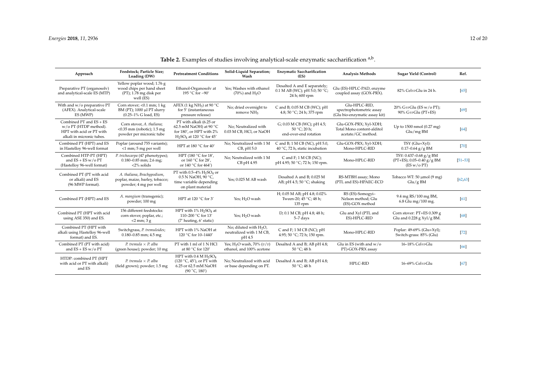<span id="page-11-0"></span>

| Approach                                                                                                  | Feedstock; Particle Size;<br>Loading (DW)                                                                       | <b>Pretreatment Conditions</b>                                                                                            | Solid-Liquid Separation;<br>Wash                                         | <b>Enzymatic Saccharification</b><br>(ES)                                      | <b>Analysis Methods</b>                                                    | <b>Sugar Yield (Control)</b>                                                          | Ref.        |
|-----------------------------------------------------------------------------------------------------------|-----------------------------------------------------------------------------------------------------------------|---------------------------------------------------------------------------------------------------------------------------|--------------------------------------------------------------------------|--------------------------------------------------------------------------------|----------------------------------------------------------------------------|---------------------------------------------------------------------------------------|-------------|
| Preparative PT (organosolv)<br>and analytical-scale ES (MTP)                                              | Yellow poplar wood; 1.76 g<br>wood chips per hand sheet<br>$(PT)$ ; 1.78 mg disk per<br>well (ES)               | Ethanol-Organosolv at<br>195 °C for ~90'                                                                                  | Yes; Washes with ethanol<br>$(70\%)$ and $H_2O$                          | Desalted A and E separately;<br>0.1 M AB (WC); pH 5.0; 50 °C;<br>24 h; 600 rpm | Glu (ES)-HPLC-PAD, enzyme<br>coupled assay (GOX-PRX).                      | 82% Cel⇔Glu in 24 h.                                                                  | [65]        |
| With and w/o preparative PT<br>(AFEX). Analytical-scale<br>ES (MWP)                                       | Corn stover; $< 0.1$ mm; $1 \text{ kg}$<br>BM (PT); 1000 µl PT slurry<br>$(0.25-1\% \text{ G load}, \text{ES})$ | AFEX (1 kg NH <sub>3</sub> ) at 90 °C<br>for 5' (instantaneous<br>pressure release)                                       | No; dried overnight to<br>remove NH <sub>3</sub>                         | C and B; $0.05$ M CB (WC); pH<br>4.8; 50 °C; 24 h; 375 rpm                     | Glu-HPLC-RID,<br>spectrophotometric assay<br>(Glu bio-enzymatic assay kit) | $20\%$ G $\Leftrightarrow$ Glu (ES w/o PT);<br>$90\%$ G $\Leftrightarrow$ Glu (PT+ES) | [69]        |
| Combined PT and ES + ES<br>w/o PT (HTDP method).<br>HPT with acid or PT with<br>alkali in micronic tubes. | Corn stover, A. thaliana;<br>$<$ 0.35 mm (robotic); 1.5 mg<br>powder per micronic tube                          | PT with alkali (6.25 or<br>62.5 mM NaOH) at 90 °C<br>for 180', or HPT with 2%<br>$H_2SO_4$ at 120 °C for 45'              | No: Neutralized with<br>0.03 M CB, HCl, or NaOH                          | G; 0.03 M CB (WC); pH 4.5;<br>50 °C; 20 h;<br>end-over-end rotation            | Glu-GOX-PRX; Xyl-XDH;<br>Total Mono content-alditol<br>acetate/GC method.  | Up to 1500 nmol (0.27 mg)<br>$Glu/mg$ BM                                              | [64]        |
| Combined PT (HPT) and ES<br>in Hastelloy 96-well format                                                   | Poplar (around 755 variants);<br><1 mm; 5 mg per well                                                           | HPT at 180 °C for 40'                                                                                                     | No; Neutralized with 1 M<br>CB, pH 5.0                                   | C and B; 1 M CB (NC), pH 5.0,<br>40 °C, 72 h, static incubation                | Glu-GOX-PRX; Xyl-XDH;<br>Mono-HPLC-RID                                     | TSY (Glu+Xyl):<br>$0.17 - 0.64$ g/g BM                                                | $[70]$      |
| Combined HTP-PT (HPT)<br>and $ES + ES w/o PT$<br>(Hastelloy 96-well format)                               | P. trichocarpa (47 phenotypes);<br>$0.180 - 0.85$ mm; 2.6 mg;<br><2% solids                                     | HPT (180 °C for 18'<br>or $160^{\circ}$ C for 28'.<br>or 140 °C for 464')                                                 | No; Neutralized with 1 M<br>CB pH 4.95                                   | C and F; 1 M CB (NC);<br>pH 4.95; 50 °C; 72 h; 150 rpm.                        | Mono-HPLC-RID                                                              | TSY: 0.437-0.68 g/g BM<br>$(PT+ES); 0.05-0.40 g/gBM$<br>(ES w/o PT)                   | $[51 - 53]$ |
| Combined PT (PT with acid<br>or alkali) and ES<br>(96 MWP format).                                        | A. thaliana, Brachypodium,<br>poplar, maize, barley, tobacco;<br>powder; 4 mg per well                          | PT with $0.5-4\%$ H <sub>2</sub> SO <sub>4</sub> or<br>0.5 N NaOH, 90 °C,<br>time variable depending<br>on plant material | Yes; 0.025 M AB wash                                                     | Desalted A and B; 0.025 M<br>AB; pH 4.5; 50 $\degree$ C; shaking               | RS-MTBH assay; Mono<br>(PTL and ES)-HPAEC-ECD                              | Tobacco WT: 50 µmol (9 mg)<br>Glu/gBM                                                 | [62, 63]    |
| Combined PT (HPT) and ES                                                                                  | A. mangium (transgenic);<br>powder; 100 mg                                                                      | HPT at 120 °C for 3'                                                                                                      | Yes; H <sub>2</sub> O wash                                               | H; 0.05 M AB; pH 4.8; 0.02%<br>Tween-20; 45 °C; 48 h;<br>$135$ rpm             | RS (ES)-Somogyi-<br>Nelson method; Glu<br>(ES)-GOX method                  | 9.4 mg RS/100 mg BM,<br>6.8 Glu mg/100 mg.                                            | [61]        |
| Combined PT (HPT with acid<br>using ASE 350) and ES.                                                      | 156 different feedstocks:<br>corn stover, poplar, etc.;<br>$<$ 2 mm; $3 g$                                      | HPT with 1% H <sub>2</sub> SO <sub>4</sub> at<br>110-200 °C for 13'<br>(7' heating, 6' static)                            | Yes; H <sub>2</sub> O wash                                               | D; 0.1 M CB; pH 4.8; 48 h;<br>5-7 days                                         | Glu and Xyl (PTL and<br>ES)-HPLC-RID                                       | Corn stover: PT+ES 0.309 g<br>Glu and $0.228$ g $Xyl/g$ BM.                           | [68]        |
| Combined PT (HPT with<br>alkali using Hastellov 96-well<br>format) and ES.                                | Switchgrass, P. tremuloides;<br>$0.180 - 0.85$ mm; $4.5$ mg                                                     | HPT with 1% NaOH at<br>120 °C for 10-1440'                                                                                | No; diluted with H <sub>2</sub> O,<br>neutralized with 1 M CB,<br>pH 4.5 | C and F; 1 M CB (NC); pH<br>4.95; 50 °C; 72 h; 150 rpm.                        | Mono-HPLC-RID                                                              | Poplar: 49-69% (Glu+Xyl);<br>Switch-grass: 85% (Glu)                                  | $[72]$      |
| Combined PT (PT with acid)<br>and $ES + ES w/o PT$                                                        | P. tremula $\times$ P. alba<br>(green house); powder; 10 mg                                                     | PT with 1 ml of 1 N HCl<br>at 80 °C for 120'                                                                              | Yes; H <sub>2</sub> O wash, 70% $(v/v)$<br>ethanol, and 100% acetone     | Desalted A and B; AB pH 4.8;<br>50 °C; 48 h                                    | Glu in ES (with and $w/o$<br>PT)-GOX-PRX assay                             | 16–18% Cel⇔Glu                                                                        | [66]        |
| HTDP: combined PT (HPT<br>with acid or PT with alkali)<br>and ES                                          | P. tremula $\times$ P. alba<br>(field grown); powder; 1.5 mg                                                    | HPT with $0.4$ M $H_2SO_4$<br>$(120 °C, 45')$ , or PT with<br>6.25 or 62.5 mM NaOH<br>(90 °C, 180')                       | No; Neutralized with acid<br>or base depending on PT.                    | Desalted A and B; AB pH 4.8;<br>50 °C; 48 h                                    | <b>HPLC-RID</b>                                                            | 16–69% Cel⇔Glu                                                                        | [67]        |

Table 2. Examples of studies involving analytical-scale enzymatic saccharification <sup>a,b</sup>.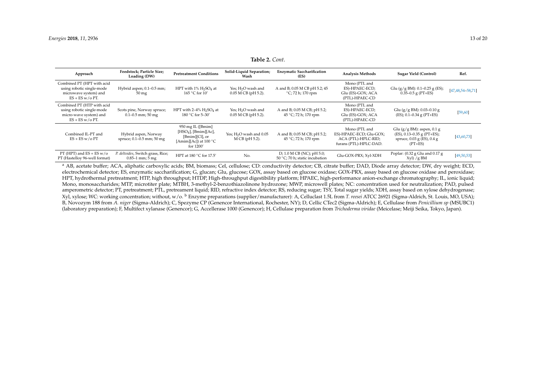**Table 2.** *Cont*.

| Approach                                                                                                 | Feedstock; Particle Size;<br>Loading (DW)                  | <b>Pretreatment Conditions</b>                                                                                         | Solid-Liquid Separation;<br>Wash                        | <b>Enzymatic Saccharification</b><br>(ES)                    | <b>Analysis Methods</b>                                                                   | <b>Sugar Yield (Control)</b>                                                                                          | Ref.                    |
|----------------------------------------------------------------------------------------------------------|------------------------------------------------------------|------------------------------------------------------------------------------------------------------------------------|---------------------------------------------------------|--------------------------------------------------------------|-------------------------------------------------------------------------------------------|-----------------------------------------------------------------------------------------------------------------------|-------------------------|
| Combined PT (HPT with acid<br>using robotic single-mode<br>microwave system) and<br>$ES + ES W / O PT$ . | Hybrid aspen; 0.1–0.5 mm;<br>$50 \,\mathrm{mg}$            | HPT with $1\%$ H <sub>2</sub> SO <sub>4</sub> at<br>165 °C for 10'                                                     | Yes; H <sub>2</sub> O wash and<br>$0.05$ M CB (pH 5.2). | A and B; 0.05 M CB pH 5.2; 45<br>$^{\circ}$ C; 72 h; 170 rpm | Mono (PTL and<br>ES)-HPAEC-ECD;<br>Glu (ES)-GOX; ACA<br>(PTL)-HPAEC-CD                    | Glu $(g/gBM): 0.1-0.25 g (ES);$<br>$0.35 - 0.5$ g (PT+ES)                                                             | $[47, 48, 54 - 58, 71]$ |
| Combined PT (HTP with acid<br>using robotic single-mode<br>micro-wave system) and<br>$ES + ES W / O PT.$ | Scots pine, Norway spruce;<br>$0.1 - 0.5$ mm; 50 mg        | HPT with $2-4\%$ H <sub>2</sub> SO <sub>4</sub> at<br>180 °C for 5-30'                                                 | Yes; H <sub>2</sub> O wash and<br>$0.05$ M CB (pH 5.2). | A and B; 0.05 M CB; pH 5.2;<br>$45^{\circ}$ C; 72 h; 170 rpm | Mono (PTL and<br>ES)-HPAEC-ECD;<br>Glu (ES)-GOX; ACA<br>(PTL)-HPAEC-CD                    | Glu $(g/g$ BM): 0.03–0.10 g<br>$(ES); 0.1-0.34 g (PT+ES)$                                                             | [59, 60]                |
| Combined IL-PT and<br>$ES + ES w/o PT$                                                                   | Hybrid aspen, Norway<br>spruce; 0.1–0.5 mm; 50 mg          | 950 mg IL ([Bmim]<br>[HSO <sub>4</sub> ], [Bmim][Ac],<br>[Bmim][Cl], or<br>[Amim][Ac]) at $100^{\circ}$ C<br>for 1200' | Yes; H <sub>2</sub> O wash and 0.05<br>M CB (pH 5.2).   | A and B; 0.05 M CB; pH 5.2;<br>$45^{\circ}$ C; 72 h; 170 rpm | Mono (PTL and<br>ES)-HPAEC-ECD; Glu-GOX;<br>ACA (PTL)-HPLC-RID;<br>furans (PTL)-HPLC-DAD. | Glu $(g/g \text{ BM})$ : aspen, 0.1 g<br>$(ES)$ , 0.13–0.35 g (PT+ES);<br>spruce, $0.03$ g (ES), $0.4$ g<br>$(PT+ES)$ | [43,60,73]              |
| PT (HPT) and $ES + ES w/o$<br>PT (Hastelloy 96-well format)                                              | P. deltoides, Switch grass, Rice;<br>$0.85 - 1$ mm; $5$ mg | HPT at 180 °C for 17.5'                                                                                                | No.                                                     | D; 1.0 M CB (NC); pH 5.0;<br>50 °C; 70 h; static incubation  | Glu-GOX-PRX; Xyl-XDH                                                                      | Poplar: (0.32 g Glu and 0.17 g<br>$Xyl$ ) / g BM                                                                      | [49, 50, 53]            |

<sup>a</sup> AB, acetate buffer; ACA, aliphatic carboxylic acids; BM, biomass; Cel, cellulose; CD: conductivity detector; CB, citrate buffer; DAD, Diode array detector; DW, dry weight; ECD, electrochemical detector; ES, enzymatic saccharification; G, glucan; Glu, glucose; GOX, assay based on glucose oxidase; GOX-PRX, assay based on glucose oxidase and peroxidase; HPT, hydrothermal pretreatment; HTP, high throughput; HTDP, High-throughput digestibility platform; HPAEC, high-performance anion-exchange chromatography; IL, ionic liquid; Mono, monosaccharides; MTP, microtiter plate; MTBH, 3-methyl-2-benzothiazolinone hydrozone; MWP, microwell plates; NC: concentration used for neutralization; PAD, pulsed amperometric detector; PT, pretreatment; PTL, pretreament liquid; RID, refractive index detector; RS, reducing sugar; TSY, Total sugar yields; XDH, assay based on xylose dehydrogenase; Xyl, xylose; WC: working concentration; without, w/o. <sup>b</sup> Enzyme preparations (supplier/manufacturer): A, Celluclast 1.5L from *T. reesei* ATCC 26921 (Sigma-Aldrich, St. Louis, MO, USA); B, Novozym 188 from *A. niger* (Sigma-Aldrich); C, Spezyme CP (Genencor International, Rochester, NY); D, Cellic CTec2 (Sigma-Aldrich); E, Cellulase from *Penicillium sp* (MSUBC1) (laboratory preparation); F, Multifect xylanase (Genencor); G, Accellerase 1000 (Genencor); H, Cellulase preparation from *Trichoderma viridae* (Meicelase; Meiji Seika, Tokyo, Japan).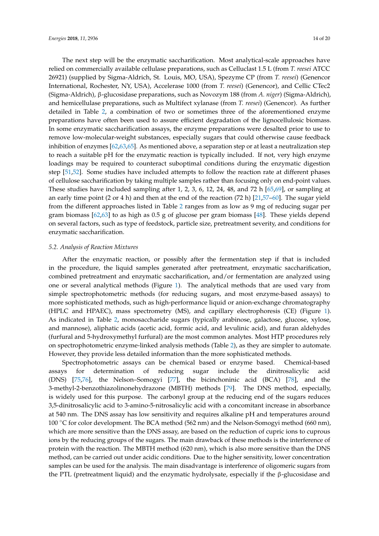The next step will be the enzymatic saccharification. Most analytical-scale approaches have relied on commercially available cellulase preparations, such as Celluclast 1.5 L (from *T. reesei* ATCC 26921) (supplied by Sigma-Aldrich, St. Louis, MO, USA), Spezyme CP (from *T. reesei*) (Genencor International, Rochester, NY, USA), Accelerase 1000 (from *T. reesei*) (Genencor), and Cellic CTec2 (Sigma-Aldrich), β-glucosidase preparations, such as Novozym 188 (from *A. niger*) (Sigma-Aldrich), and hemicellulase preparations, such as Multifect xylanase (from *T. reesei*) (Genencor). As further detailed in Table [2,](#page-11-0) a combination of two or sometimes three of the aforementioned enzyme preparations have often been used to assure efficient degradation of the lignocellulosic biomass. In some enzymatic saccharification assays, the enzyme preparations were desalted prior to use to remove low-molecular-weight substances, especially sugars that could otherwise cause feedback inhibition of enzymes [\[62,](#page-18-1)[63](#page-18-5)[,65\]](#page-18-3). As mentioned above, a separation step or at least a neutralization step to reach a suitable pH for the enzymatic reaction is typically included. If not, very high enzyme loadings may be required to counteract suboptimal conditions during the enzymatic digestion step [\[51,](#page-17-9)[52\]](#page-17-10). Some studies have included attempts to follow the reaction rate at different phases of cellulose saccharification by taking multiple samples rather than focusing only on end-point values. These studies have included sampling after 1, 2, 3, 6, 12, 24, 48, and 72 h [\[65](#page-18-3)[,69\]](#page-18-9), or sampling at an early time point (2 or 4 h) and then at the end of the reaction (72 h) [\[21](#page-15-19)[,57–](#page-17-22)[60\]](#page-17-11). The sugar yield from the different approaches listed in Table [2](#page-11-0) ranges from as low as 9 mg of reducing sugar per gram biomass [\[62](#page-18-1)[,63\]](#page-18-5) to as high as 0.5 g of glucose per gram biomass [\[48\]](#page-17-5). These yields depend on several factors, such as type of feedstock, particle size, pretreatment severity, and conditions for enzymatic saccharification.

## *5.2. Analysis of Reaction Mixtures*

After the enzymatic reaction, or possibly after the fermentation step if that is included in the procedure, the liquid samples generated after pretreatment, enzymatic saccharification, combined pretreatment and enzymatic saccharification, and/or fermentation are analyzed using one or several analytical methods (Figure [1\)](#page-1-0). The analytical methods that are used vary from simple spectrophotometric methods (for reducing sugars, and most enzyme-based assays) to more sophisticated methods, such as high-performance liquid or anion-exchange chromatography (HPLC and HPAEC), mass spectrometry (MS), and capillary electrophoresis (CE) (Figure [1\)](#page-1-0). As indicated in Table [2,](#page-11-0) monosaccharide sugars (typically arabinose, galactose, glucose, xylose, and mannose), aliphatic acids (acetic acid, formic acid, and levulinic acid), and furan aldehydes (furfural and 5-hydroxymethyl furfural) are the most common analytes. Most HTP procedures rely on spectrophotometric enzyme-linked analysis methods (Table [2\)](#page-11-0), as they are simpler to automate. However, they provide less detailed information than the more sophisticated methods.

Spectrophotometric assays can be chemical based or enzyme based. Chemical-based assays for determination of reducing sugar include the dinitrosalicylic acid (DNS) [\[75,](#page-18-26)[76\]](#page-18-27), the Nelson–Somogyi [\[77\]](#page-18-28), the bicinchoninic acid (BCA) [\[78\]](#page-18-29), and the 3-methyl-2-benzothiazolinonehydrazone (MBTH) methods [\[79\]](#page-18-30). The DNS method, especially, is widely used for this purpose. The carbonyl group at the reducing end of the sugars reduces 3,5-dinitrosalicylic acid to 3-amino-5-nitrosalicylic acid with a concomitant increase in absorbance at 540 nm. The DNS assay has low sensitivity and requires alkaline pH and temperatures around 100 ◦C for color development. The BCA method (562 nm) and the Nelson-Somogyi method (660 nm), which are more sensitive than the DNS assay, are based on the reduction of cupric ions to cuprous ions by the reducing groups of the sugars. The main drawback of these methods is the interference of protein with the reaction. The MBTH method (620 nm), which is also more sensitive than the DNS method, can be carried out under acidic conditions. Due to the higher sensitivity, lower concentration samples can be used for the analysis. The main disadvantage is interference of oligomeric sugars from the PTL (pretreatment liquid) and the enzymatic hydrolysate, especially if the β-glucosidase and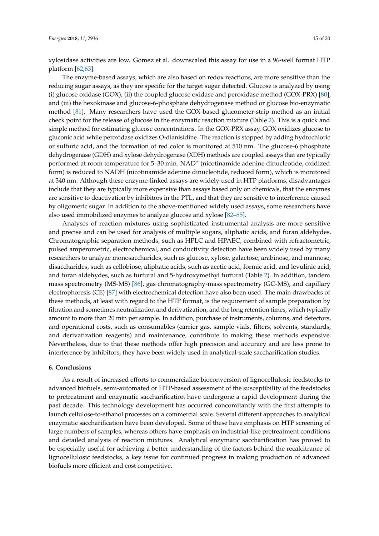xylosidase activities are low. Gomez et al. downscaled this assay for use in a 96-well format HTP platform [\[62,](#page-18-1)[63\]](#page-18-5).

The enzyme-based assays, which are also based on redox reactions, are more sensitive than the reducing sugar assays, as they are specific for the target sugar detected. Glucose is analyzed by using (i) glucose oxidase (GOX), (ii) the coupled glucose oxidase and peroxidase method (GOX-PRX) [\[80\]](#page-18-31), and (iii) the hexokinase and glucose-6-phosphate dehydrogenase method or glucose bio-enzymatic method [\[81\]](#page-18-32). Many researchers have used the GOX-based glucometer-strip method as an initial check point for the release of glucose in the enzymatic reaction mixture (Table [2\)](#page-11-0). This is a quick and simple method for estimating glucose concentrations. In the GOX-PRX assay, GOX oxidizes glucose to gluconic acid while peroxidase oxidizes O-dianisidine. The reaction is stopped by adding hydrochloric or sulfuric acid, and the formation of red color is monitored at 510 nm. The glucose-6 phosphate dehydrogenase (GDH) and xylose dehydrogenase (XDH) methods are coupled assays that are typically performed at room temperature for 5–30 min. NAD<sup>+</sup> (nicotinamide adenine dinucleotide, oxidized form) is reduced to NADH (nicotinamide adenine dinucleotide, reduced form), which is monitored at 340 nm. Although these enzyme-linked assays are widely used in HTP platforms, disadvantages include that they are typically more expensive than assays based only on chemicals, that the enzymes are sensitive to deactivation by inhibitors in the PTL, and that they are sensitive to interference caused by oligomeric sugar. In addition to the above-mentioned widely used assays, some researchers have also used immobilized enzymes to analyze glucose and xylose [\[82–](#page-19-0)[85\]](#page-19-1).

Analyses of reaction mixtures using sophisticated instrumental analysis are more sensitive and precise and can be used for analysis of multiple sugars, aliphatic acids, and furan aldehydes. Chromatographic separation methods, such as HPLC and HPAEC, combined with refractometric, pulsed amperometric, electrochemical, and conductivity detection have been widely used by many researchers to analyze monosaccharides, such as glucose, xylose, galactose, arabinose, and mannose, disaccharides, such as cellobiose, aliphatic acids, such as acetic acid, formic acid, and levulinic acid, and furan aldehydes, such as furfural and 5-hydroxymethyl furfural (Table [2\)](#page-11-0). In addition, tandem mass spectrometry (MS-MS) [\[86\]](#page-19-2), gas chromatography-mass spectrometry (GC-MS), and capillary electrophoresis (CE) [\[87\]](#page-19-3) with electrochemical detection have also been used. The main drawbacks of these methods, at least with regard to the HTP format, is the requirement of sample preparation by filtration and sometimes neutralization and derivatization, and the long retention times, which typically amount to more than 20 min per sample. In addition, purchase of instruments, columns, and detectors, and operational costs, such as consumables (carrier gas, sample vials, filters, solvents, standards, and derivatization reagents) and maintenance, contribute to making these methods expensive. Nevertheless, due to that these methods offer high precision and accuracy and are less prone to interference by inhibitors, they have been widely used in analytical-scale saccharification studies.

#### **6. Conclusions**

As a result of increased efforts to commercialize bioconversion of lignocellulosic feedstocks to advanced biofuels, semi-automated or HTP-based assessment of the susceptibility of the feedstocks to pretreatment and enzymatic saccharification have undergone a rapid development during the past decade. This technology development has occurred concomitantly with the first attempts to launch cellulose-to-ethanol processes on a commercial scale. Several different approaches to analytical enzymatic saccharification have been developed. Some of these have emphasis on HTP screening of large numbers of samples, whereas others have emphasis on industrial-like pretreatment conditions and detailed analysis of reaction mixtures. Analytical enzymatic saccharification has proved to be especially useful for achieving a better understanding of the factors behind the recalcitrance of lignocellulosic feedstocks, a key issue for continued progress in making production of advanced biofuels more efficient and cost competitive.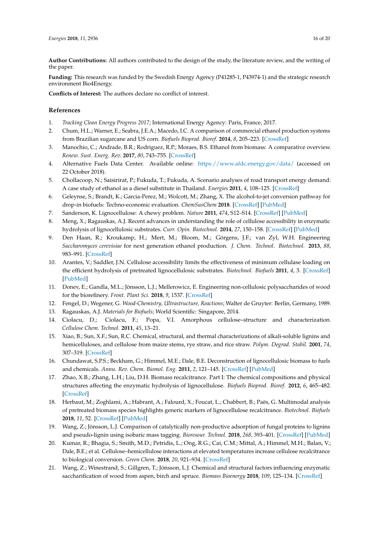**Author Contributions:** All authors contributed to the design of the study, the literature review, and the writing of the paper.

**Funding:** This research was funded by the Swedish Energy Agency (P41285-1, P43974-1) and the strategic research environment Bio4Energy.

**Conflicts of Interest:** The authors declare no conflict of interest.

# **References**

- <span id="page-15-0"></span>1. *Tracking Clean Energy Progress 2017*; International Energy Agency: Paris, France, 2017.
- <span id="page-15-1"></span>2. Chum, H.L.; Warner, E.; Seabra, J.E.A.; Macedo, I.C. A comparison of commercial ethanol production systems from Brazilian sugarcane and US corn. *Biofuels Bioprod. Bioref.* **2014**, *8*, 205–223. [\[CrossRef\]](http://dx.doi.org/10.1002/bbb.1448)
- 3. Manochio, C.; Andrade, B.R.; Rodriguez, R.P.; Moraes, B.S. Ethanol from biomass: A comparative overview. *Renew. Sust. Energ. Rev.* **2017**, *80*, 743–755. [\[CrossRef\]](http://dx.doi.org/10.1016/j.rser.2017.05.063)
- <span id="page-15-2"></span>4. Alternative Fuels Data Center. Available online: <https://www.afdc.energy.gov/data/> (accessed on 22 October 2018).
- <span id="page-15-3"></span>5. Chollacoop, N.; Saisirirat, P.; Fukuda, T.; Fukuda, A. Scenario analyses of road transport energy demand: A case study of ethanol as a diesel substitute in Thailand. *Energies* **2011**, *4*, 108–125. [\[CrossRef\]](http://dx.doi.org/10.3390/en4010108)
- <span id="page-15-4"></span>6. Geleynse, S.; Brandt, K.; Garcia-Perez, M.; Wolcott, M.; Zhang, X. The alcohol-to-jet conversion pathway for drop-in biofuels: Techno-economic evaluation. *ChemSusChem* **2018**. [\[CrossRef\]](http://dx.doi.org/10.1002/cssc.201801690) [\[PubMed\]](http://www.ncbi.nlm.nih.gov/pubmed/30212605)
- <span id="page-15-5"></span>7. Sanderson, K. Lignocellulose: A chewy problem. *Nature* **2011**, *474*, S12–S14. [\[CrossRef\]](http://dx.doi.org/10.1038/474S012a) [\[PubMed\]](http://www.ncbi.nlm.nih.gov/pubmed/21697834)
- <span id="page-15-6"></span>8. Meng, X.; Ragauskas, A.J. Recent advances in understanding the role of cellulose accessibility in enzymatic hydrolysis of lignocellulosic substrates. *Curr. Opin. Biotechnol.* **2014**, *27*, 150–158. [\[CrossRef\]](http://dx.doi.org/10.1016/j.copbio.2014.01.014) [\[PubMed\]](http://www.ncbi.nlm.nih.gov/pubmed/24549148)
- <span id="page-15-7"></span>9. Den Haan, R.; Kroukamp, H.; Mert, M.; Bloom, M.; Görgens, J.F.; van Zyl, W.H. Engineering *Saccharomyces cerevisiae* for next generation ethanol production. *J. Chem. Technol. Biotechnol.* **2013**, *88*, 983–991. [\[CrossRef\]](http://dx.doi.org/10.1002/jctb.4068)
- <span id="page-15-8"></span>10. Arantes, V.; Saddler, J.N. Cellulose accessibility limits the effectiveness of minimum cellulase loading on the efficient hydrolysis of pretreated lignocellulosic substrates. *Biotechnol. Biofuels* **2011**, *4*, 3. [\[CrossRef\]](http://dx.doi.org/10.1186/1754-6834-4-3) [\[PubMed\]](http://www.ncbi.nlm.nih.gov/pubmed/21310050)
- <span id="page-15-9"></span>11. Donev, E.; Gandla, M.L.; Jönsson, L.J.; Mellerowicz, E. Engineering non-cellulosic polysaccharides of wood for the biorefinery. *Front. Plant Sci.* **2018**, *9*, 1537. [\[CrossRef\]](http://dx.doi.org/10.3389/fpls.2018.01537)
- <span id="page-15-10"></span>12. Fengel, D.; Wegener, G. *Wood-Chemistry, Ultrastructure, Reactions*; Walter de Gruyter: Berlin, Germany, 1989.
- <span id="page-15-11"></span>13. Ragauskas, A.J. *Materials for Biofuels*; World Scientific: Singapore, 2014.
- <span id="page-15-12"></span>14. Ciolacu, D.; Ciolacu, F.; Popa, V.I. Amorphous cellulose–structure and characterization. *Cellulose Chem. Technol.* **2011**, *45*, 13–21.
- <span id="page-15-13"></span>15. Xiao, B.; Sun, X.F.; Sun, R.C. Chemical, structural, and thermal characterizations of alkali-soluble lignins and hemicelluloses, and cellulose from maize stems, rye straw, and rice straw. *Polym. Degrad. Stabil.* **2001**, *74*, 307–319. [\[CrossRef\]](http://dx.doi.org/10.1016/S0141-3910(01)00163-X)
- <span id="page-15-14"></span>16. Chundawat, S.P.S.; Beckham, G.; Himmel, M.E.; Dale, B.E. Deconstruction of lignocellulosic biomass to fuels and chemicals. *Annu. Rev. Chem. Biomol. Eng.* **2011**, *2*, 121–145. [\[CrossRef\]](http://dx.doi.org/10.1146/annurev-chembioeng-061010-114205) [\[PubMed\]](http://www.ncbi.nlm.nih.gov/pubmed/22432613)
- <span id="page-15-15"></span>17. Zhao, X.B.; Zhang, L.H.; Liu, D.H. Biomass recalcitrance. Part I: The chemical compositions and physical structures affecting the enzymatic hydrolysis of lignocellulose. *Biofuels Bioprod. Bioref.* **2012**, *6*, 465–482. [\[CrossRef\]](http://dx.doi.org/10.1002/bbb.1331)
- <span id="page-15-16"></span>18. Herbaut, M.; Zoghlami, A.; Habrant, A.; Falourd, X.; Foucat, L.; Chabbert, B.; Paës, G. Multimodal analysis of pretreated biomass species highlights generic markers of lignocellulose recalcitrance. *Biotechnol. Biofuels* **2018**, *11*, 52. [\[CrossRef\]](http://dx.doi.org/10.1186/s13068-018-1053-8) [\[PubMed\]](http://www.ncbi.nlm.nih.gov/pubmed/29492107)
- <span id="page-15-17"></span>19. Wang, Z.; Jönsson, L.J. Comparison of catalytically non-productive adsorption of fungal proteins to lignins and pseudo-lignin using isobaric mass tagging. *Bioresour. Technol.* **2018**, *268*, 393–401. [\[CrossRef\]](http://dx.doi.org/10.1016/j.biortech.2018.07.149) [\[PubMed\]](http://www.ncbi.nlm.nih.gov/pubmed/30099290)
- <span id="page-15-18"></span>20. Kumar, R.; Bhagia, S.; Smith, M.D.; Petridis, L.; Ong, R.G.; Cai, C.M.; Mittal, A.; Himmel, M.H.; Balan, V.; Dale, B.E.; et al. Cellulose–hemicellulose interactions at elevated temperatures increase cellulose recalcitrance to biological conversion. *Green Chem.* **2018**, *20*, 921–934. [\[CrossRef\]](http://dx.doi.org/10.1039/C7GC03518G)
- <span id="page-15-19"></span>21. Wang, Z.; Winestrand, S.; Gillgren, T.; Jönsson, L.J. Chemical and structural factors influencing enzymatic saccharification of wood from aspen, birch and spruce. *Biomass Bioenergy* **2018**, *109*, 125–134. [\[CrossRef\]](http://dx.doi.org/10.1016/j.biombioe.2017.12.020)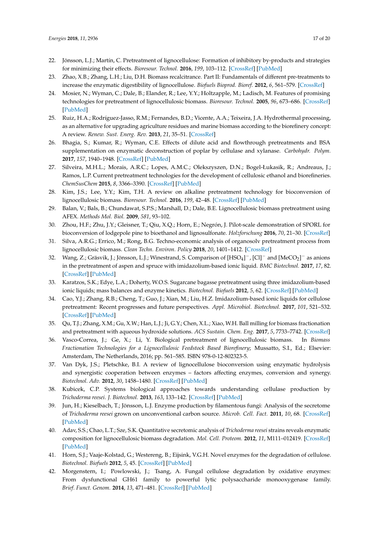- <span id="page-16-22"></span><span id="page-16-21"></span><span id="page-16-20"></span><span id="page-16-19"></span><span id="page-16-18"></span><span id="page-16-17"></span><span id="page-16-16"></span><span id="page-16-15"></span><span id="page-16-0"></span>22. Jönsson, L.J.; Martín, C. Pretreatment of lignocellulose: Formation of inhibitory by-products and strategies for minimizing their effects. *Bioresour. Technol.* **2016**, *199*, 103–112. [\[CrossRef\]](http://dx.doi.org/10.1016/j.biortech.2015.10.009) [\[PubMed\]](http://www.ncbi.nlm.nih.gov/pubmed/26482946)
- <span id="page-16-23"></span><span id="page-16-1"></span>23. Zhao, X.B.; Zhang, L.H.; Liu, D.H. Biomass recalcitrance. Part II: Fundamentals of different pre-treatments to increase the enzymatic digestibility of lignocellulose. *Biofuels Bioprod. Bioref.* **2012**, *6*, 561–579. [\[CrossRef\]](http://dx.doi.org/10.1002/bbb.1350)
- <span id="page-16-24"></span><span id="page-16-2"></span>24. Mosier, N.; Wyman, C.; Dale, B.; Elander, R.; Lee, Y.Y.; Holtzapple, M.; Ladisch, M. Features of promising technologies for pretreatment of lignocellulosic biomass. *Bioresour. Technol.* **2005**, *96*, 673–686. [\[CrossRef\]](http://dx.doi.org/10.1016/j.biortech.2004.06.025) [\[PubMed\]](http://www.ncbi.nlm.nih.gov/pubmed/15588770)
- <span id="page-16-3"></span>25. Ruiz, H.A.; Rodríguez-Jasso, R.M.; Fernandes, B.D.; Vicente, A.A.; Teixeira, J.A. Hydrothermal processing, as an alternative for upgrading agriculture residues and marine biomass according to the biorefinery concept: A review. *Renew. Sust. Energ. Rev.* **2013**, *21*, 35–51. [\[CrossRef\]](http://dx.doi.org/10.1016/j.rser.2012.11.069)
- <span id="page-16-25"></span><span id="page-16-4"></span>26. Bhagia, S.; Kumar, R.; Wyman, C.E. Effects of dilute acid and flowthrough pretreatments and BSA supplementation on enzymatic deconstruction of poplar by cellulase and xylanase. *Carbohydr. Polym.* **2017**, *157*, 1940–1948. [\[CrossRef\]](http://dx.doi.org/10.1016/j.carbpol.2016.11.085) [\[PubMed\]](http://www.ncbi.nlm.nih.gov/pubmed/27987914)
- <span id="page-16-5"></span>27. Silveira, M.H.L.; Morais, A.R.C.; Lopes, A.M.C.; Olekszyszen, D.N.; Bogel-Łukasik, R.; Andreaus, J.; Ramos, L.P. Current pretreatment technologies for the development of cellulosic ethanol and biorefineries. *ChemSusChem* **2015**, *8*, 3366–3390. [\[CrossRef\]](http://dx.doi.org/10.1002/cssc.201500282) [\[PubMed\]](http://www.ncbi.nlm.nih.gov/pubmed/26365899)
- <span id="page-16-6"></span>28. Kim, J.S.; Lee, Y.Y.; Kim, T.H. A review on alkaline pretreatment technology for bioconversion of lignocellulosic biomass. *Bioresour. Technol.* **2016**, *199*, 42–48. [\[CrossRef\]](http://dx.doi.org/10.1016/j.biortech.2015.08.085) [\[PubMed\]](http://www.ncbi.nlm.nih.gov/pubmed/26341010)
- <span id="page-16-7"></span>29. Balan, V.; Bals, B.; Chundawat, S.P.S.; Marshall, D.; Dale, B.E. Lignocellulosic biomass pretreatment using AFEX. *Methods Mol. Biol.* **2009**, *581*, 93–102.
- <span id="page-16-8"></span>30. Zhou, H.F.; Zhu, J.Y.; Gleisner, T.; Qiu, X.Q.; Horn, E.; Negrón, J. Pilot-scale demonstration of SPORL for bioconversion of lodgepole pine to bioethanol and lignosulfonate. *Holzforschung* **2016**, *70*, 21–30. [\[CrossRef\]](http://dx.doi.org/10.1515/hf-2014-0332)
- <span id="page-16-9"></span>31. Silva, A.R.G.; Errico, M.; Rong, B.G. Techno-economic analysis of organosolv pretreatment process from lignocellulosic biomass. *Clean Techn. Environ. Policy* **2018**, *20*, 1401–1412. [\[CrossRef\]](http://dx.doi.org/10.1007/s10098-017-1389-y)
- <span id="page-16-10"></span>32. Wang, Z.; Gräsvik, J.; Jönsson, L.J.; Winestrand, S. Comparison of  $[HSO_4]^-$ ,  $[Cl]^-\$ and  $[MeCO_2]^-$  as anions in the pretreatment of aspen and spruce with imidazolium-based ionic liquid. *BMC Biotechnol.* **2017**, *17*, 82. [\[CrossRef\]](http://dx.doi.org/10.1186/s12896-017-0403-0) [\[PubMed\]](http://www.ncbi.nlm.nih.gov/pubmed/29141617)
- <span id="page-16-11"></span>33. Karatzos, S.K.; Edye, L.A.; Doherty, W.O.S. Sugarcane bagasse pretreatment using three imidazolium-based ionic liquids; mass balances and enzyme kinetics. *Biotechnol. Biofuels* **2012**, *5*, 62. [\[CrossRef\]](http://dx.doi.org/10.1186/1754-6834-5-62) [\[PubMed\]](http://www.ncbi.nlm.nih.gov/pubmed/22920045)
- <span id="page-16-12"></span>34. Cao, Y.J.; Zhang, R.B.; Cheng, T.; Guo, J.; Xian, M.; Liu, H.Z. Imidazolium-based ionic liquids for cellulose pretreatment: Recent progresses and future perspectives. *Appl. Microbiol. Biotechnol.* **2017**, *101*, 521–532. [\[CrossRef\]](http://dx.doi.org/10.1007/s00253-016-8057-8) [\[PubMed\]](http://www.ncbi.nlm.nih.gov/pubmed/28012046)
- <span id="page-16-13"></span>35. Qu, T.J.; Zhang, X.M.; Gu, X.W.; Han, L.J.; Ji, G.Y.; Chen, X.L.; Xiao, W.H. Ball milling for biomass fractionation and pretreatment with aqueous hydroxide solutions. *ACS Sustain. Chem. Eng.* **2017**, *5*, 7733–7742. [\[CrossRef\]](http://dx.doi.org/10.1021/acssuschemeng.7b01186)
- <span id="page-16-14"></span>36. Vasco-Correa, J.; Ge, X.; Li, Y. Biological pretreatment of lignocellulosic biomass. In *Biomass Fractionation Technologies for a Lignocellulosic Feedstock Based Biorefinery*; Mussatto, S.I., Ed.; Elsevier: Amsterdam, The Netherlands, 2016; pp. 561–585. ISBN 978-0-12-802323-5.
- <span id="page-16-26"></span>37. Van Dyk, J.S.; Pletschke, B.I. A review of lignocellulose bioconversion using enzymatic hydrolysis and synergistic cooperation between enzymes – factors affecting enzymes, conversion and synergy. *Biotechnol. Adv.* **2012**, *30*, 1458–1480. [\[CrossRef\]](http://dx.doi.org/10.1016/j.biotechadv.2012.03.002) [\[PubMed\]](http://www.ncbi.nlm.nih.gov/pubmed/22445788)
- <span id="page-16-27"></span>38. Kubicek, C.P. Systems biological approaches towards understanding cellulase production by *Trichoderma reesei*. *J. Biotechnol.* **2013**, *163*, 133–142. [\[CrossRef\]](http://dx.doi.org/10.1016/j.jbiotec.2012.05.020) [\[PubMed\]](http://www.ncbi.nlm.nih.gov/pubmed/22750088)
- <span id="page-16-28"></span>39. Jun, H.; Kieselbach, T.; Jönsson, L.J. Enzyme production by filamentous fungi: Analysis of the secretome of *Trichoderma reesei* grown on unconventional carbon source. *Microb. Cell. Fact.* **2011**, *10*, 68. [\[CrossRef\]](http://dx.doi.org/10.1186/1475-2859-10-68) [\[PubMed\]](http://www.ncbi.nlm.nih.gov/pubmed/21861877)
- <span id="page-16-29"></span>40. Adav, S.S.; Chao, L.T.; Sze, S.K. Quantitative secretomic analysis of *Trichoderma reesei* strains reveals enzymatic composition for lignocellulosic biomass degradation. *Mol. Cell. Proteom.* **2012**, *11*, M111–012419. [\[CrossRef\]](http://dx.doi.org/10.1074/mcp.M111.012419) [\[PubMed\]](http://www.ncbi.nlm.nih.gov/pubmed/22355001)
- <span id="page-16-30"></span>41. Horn, S.J.; Vaaje-Kolstad, G.; Westereng, B.; Eijsink, V.G.H. Novel enzymes for the degradation of cellulose. *Biotechnol. Biofuels* **2012**, *5*, 45. [\[CrossRef\]](http://dx.doi.org/10.1186/1754-6834-5-45) [\[PubMed\]](http://www.ncbi.nlm.nih.gov/pubmed/22747961)
- <span id="page-16-31"></span>42. Morgenstern, I.; Powlowski, J.; Tsang, A. Fungal cellulose degradation by oxidative enzymes: From dysfunctional GH61 family to powerful lytic polysaccharide monooxygenase family. *Brief. Funct. Genom.* **2014**, *13*, 471–481. [\[CrossRef\]](http://dx.doi.org/10.1093/bfgp/elu032) [\[PubMed\]](http://www.ncbi.nlm.nih.gov/pubmed/25217478)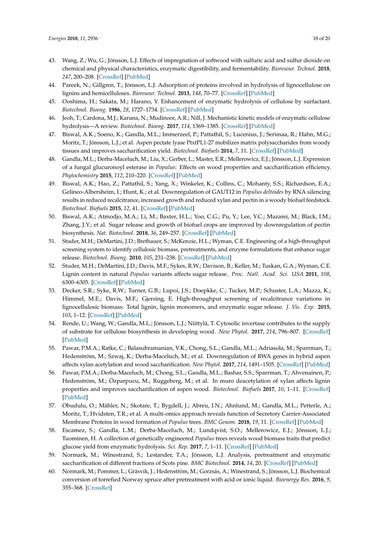- <span id="page-17-21"></span><span id="page-17-20"></span><span id="page-17-19"></span><span id="page-17-14"></span><span id="page-17-13"></span><span id="page-17-0"></span>43. Wang, Z.; Wu, G.; Jönsson, L.J. Effects of impregnation of softwood with sulfuric acid and sulfur dioxide on chemical and physical characteristics, enzymatic digestibility, and fermentability. *Bioresour. Technol.* **2018**, *247*, 200–208. [\[CrossRef\]](http://dx.doi.org/10.1016/j.biortech.2017.09.081) [\[PubMed\]](http://www.ncbi.nlm.nih.gov/pubmed/28950127)
- <span id="page-17-12"></span><span id="page-17-1"></span>44. Pareek, N.; Gillgren, T.; Jönsson, L.J. Adsorption of proteins involved in hydrolysis of lignocellulose on lignins and hemicelluloses. *Bioresour. Technol.* **2013**, *148*, 70–77. [\[CrossRef\]](http://dx.doi.org/10.1016/j.biortech.2013.08.121) [\[PubMed\]](http://www.ncbi.nlm.nih.gov/pubmed/24045193)
- <span id="page-17-2"></span>45. Ooshima, H.; Sakata, M.; Harano, Y. Enhancement of enzymatic hydrolysis of cellulose by surfactant. *Biotechnol. Bioeng.* **1986**, *28*, 1727–1734. [\[CrossRef\]](http://dx.doi.org/10.1002/bit.260281117) [\[PubMed\]](http://www.ncbi.nlm.nih.gov/pubmed/18555287)
- <span id="page-17-3"></span>46. Jeoh, T.; Cardona, M.J.; Karuna, N.; Mudinoor, A.R.; Nill, J. Mechanistic kinetic models of enzymatic cellulose hydrolysis—A review. *Biotechnol. Bioeng.* **2017**, *114*, 1369–1385. [\[CrossRef\]](http://dx.doi.org/10.1002/bit.26277) [\[PubMed\]](http://www.ncbi.nlm.nih.gov/pubmed/28244589)
- <span id="page-17-4"></span>47. Biswal, A.K.; Soeno, K.; Gandla, M.L.; Immerzeel, P.; Pattathil, S.; Lucenius, J.; Serimaa, R.; Hahn, M.G.; Moritz, T.; Jönsson, L.J.; et al. Aspen pectate lyase PtxtPL1-27 mobilizes matrix polysaccharides from woody tissues and improves saccharification yield. *Biotechnol. Biofuels* **2014**, *7*, 11. [\[CrossRef\]](http://dx.doi.org/10.1186/1754-6834-7-11) [\[PubMed\]](http://www.ncbi.nlm.nih.gov/pubmed/24450583)
- <span id="page-17-15"></span><span id="page-17-5"></span>48. Gandla, M.L.; Derba-Maceluch, M.; Liu, X.; Gerber, L.; Master, E.R.; Mellerowicz, E.J.; Jönsson, L.J. Expression of a fungal glucuronoyl esterase in *Populus*: Effects on wood properties and saccharification efficiency. *Phytochemistry* **2015**, *112*, 210–220. [\[CrossRef\]](http://dx.doi.org/10.1016/j.phytochem.2014.06.002) [\[PubMed\]](http://www.ncbi.nlm.nih.gov/pubmed/24997793)
- 49. Biswal, A.K.; Hao, Z.; Pattathil, S.; Yang, X.; Winkeler, K.; Collins, C.; Mohanty, S.S.; Richardson, E.A.; Gelineo-Albersheim, I.; Hunt, K.; et al. Downregulation of GAUT12 in *Populus deltoides* by RNA silencing results in reduced recalcitrance, increased growth and reduced xylan and pectin in a woody biofuel feedstock. *Biotechnol. Biofuels* **2015**, *12*, 41. [\[CrossRef\]](http://dx.doi.org/10.1186/s13068-015-0218-y) [\[PubMed\]](http://www.ncbi.nlm.nih.gov/pubmed/25802552)
- <span id="page-17-8"></span>50. Biswal, A.K.; Atmodjo, M.A.; Li, M.; Baxter, H.L.; Yoo, C.G.; Pu, Y.; Lee, Y.C.; Mazarei, M.; Black, I.M.; Zhang, J.Y.; et al. Sugar release and growth of biofuel crops are improved by downregulation of pectin biosynthesis. *Nat. Biotechnol.* **2018**, *36*, 249–257. [\[CrossRef\]](http://dx.doi.org/10.1038/nbt.4067) [\[PubMed\]](http://www.ncbi.nlm.nih.gov/pubmed/29431741)
- <span id="page-17-9"></span>51. Studer, M.H.; DeMartini, J.D.; Brethauer, S.; McKenzie, H.L.; Wyman, C.E. Engineering of a high-throughput screening system to identify cellulosic biomass, pretreatments, and enzyme formulations that enhance sugar release. *Biotechnol. Bioeng.* **2010**, *105*, 231–238. [\[CrossRef\]](http://dx.doi.org/10.1002/bit.22527) [\[PubMed\]](http://www.ncbi.nlm.nih.gov/pubmed/19731251)
- <span id="page-17-16"></span><span id="page-17-10"></span>52. Studer, M.H.; DeMartini, J.D.; Davis, M.F.; Sykes, R.W.; Davison, B.; Keller, M.; Tuskan, G.A.; Wyman, C.E. Lignin content in natural *Populus* variants affects sugar release. *Proc. Natl. Acad. Sci. USA* **2011**, *108*, 6300–6305. [\[CrossRef\]](http://dx.doi.org/10.1073/pnas.1009252108) [\[PubMed\]](http://www.ncbi.nlm.nih.gov/pubmed/21444820)
- <span id="page-17-17"></span>53. Decker, S.R.; Syke, R.W.; Turner, G.B.; Lupoi, J.S.; Doepkke, C.; Tucker, M.P.; Schuster, L.A.; Mazza, K.; Himmel, M.E.; Davis, M.F.; Gjersing, E. High-throughput screening of recalcitrance variations in lignocellulosic biomass: Total lignin, lignin monomers, and enzymatic sugar release. *J. Vis. Exp.* **2015**, *103*, 1–12. [\[CrossRef\]](http://dx.doi.org/10.3791/53163) [\[PubMed\]](http://www.ncbi.nlm.nih.gov/pubmed/26437006)
- <span id="page-17-18"></span><span id="page-17-6"></span>54. Rende, U.; Wang, W.; Gandla, M.L.; Jönsson, L.J.; Niittylä, T. Cytosolic invertase contributes to the supply of substrate for cellulose biosynthesis in developing wood. *New Phytol.* **2017**, *214*, 796–807. [\[CrossRef\]](http://dx.doi.org/10.1111/nph.14392) [\[PubMed\]](http://www.ncbi.nlm.nih.gov/pubmed/28032636)
- 55. Pawar, P.M.A.; Ratke, C.; Balasubramanian, V.K.; Chong, S.L.; Gandla, M.L.; Adriasola, M.; Sparrman, T.; Hedenström, M.; Szwaj, K.; Derba-Maceluch, M.; et al. Downregulation of RWA genes in hybrid aspen affects xylan acetylation and wood saccharification. *New Phytol.* **2017**, *214*, 1491–1505. [\[CrossRef\]](http://dx.doi.org/10.1111/nph.14489) [\[PubMed\]](http://www.ncbi.nlm.nih.gov/pubmed/28257170)
- 56. Pawar, P.M.A.; Derba-Maceluch, M.; Chong, S.L.; Gandla, M.L.; Bashar, S.S.; Sparrman, T.; Ahvenainen, P.; Hedenström, M.; Özparpucu, M.; Ruggeberg, M.; et al. In muro deacetylation of xylan affects lignin properties and improves saccharification of aspen wood. *Biotechnol. Biofuels* **2017**, *10*, 1–11. [\[CrossRef\]](http://dx.doi.org/10.1186/s13068-017-0782-4) [\[PubMed\]](http://www.ncbi.nlm.nih.gov/pubmed/28428822)
- <span id="page-17-22"></span>57. Obudulu, O.; Mähler, N.; Skotare, T.; Bygdell, J.; Abreu, I.N.; Ahnlund, M.; Gandla, M.L.; Petterle, A.; Moritz, T.; Hvidsten, T.R.; et al. A multi-omics approach reveals function of Secretory Carrier-Associated Membrane Proteins in wood formation of *Populus* trees. *BMC Genom.* **2018**, *19*, 11. [\[CrossRef\]](http://dx.doi.org/10.1186/s12864-017-4411-1) [\[PubMed\]](http://www.ncbi.nlm.nih.gov/pubmed/29298676)
- 58. Escamez, S.; Gandla, L.M.; Derba-Maceluch, M.; Lundqvist, S.O.; Mellerowicz, E.J.; Jönsson, L.J.; Tuominen, H. A collection of genetically engineered *Populus* trees reveals wood biomass traits that predict glucose yield from enzymatic hydrolysis. *Sci. Rep.* **2017**, *7*, 1–11. [\[CrossRef\]](http://dx.doi.org/10.1038/s41598-017-16013-0) [\[PubMed\]](http://www.ncbi.nlm.nih.gov/pubmed/29150693)
- <span id="page-17-7"></span>59. Normark, M.; Winestrand, S.; Lestander, T.A.; Jönsson, L.J. Analysis, pretreatment and enzymatic saccharification of different fractions of Scots pine. *BMC Biotechnol.* **2014**, *14*, 20. [\[CrossRef\]](http://dx.doi.org/10.1186/1472-6750-14-20) [\[PubMed\]](http://www.ncbi.nlm.nih.gov/pubmed/24641769)
- <span id="page-17-11"></span>60. Normark, M.; Pommer, L.; Gräsvik, J.; Hedenström, M.; Gorzsás, A.; Winestrand, S.; Jönsson, L.J. Biochemical conversion of torrefied Norway spruce after pretreatment with acid or ionic liquid. *Bioenergy Res.* **2016**, *9*, 355–368. [\[CrossRef\]](http://dx.doi.org/10.1007/s12155-015-9698-7)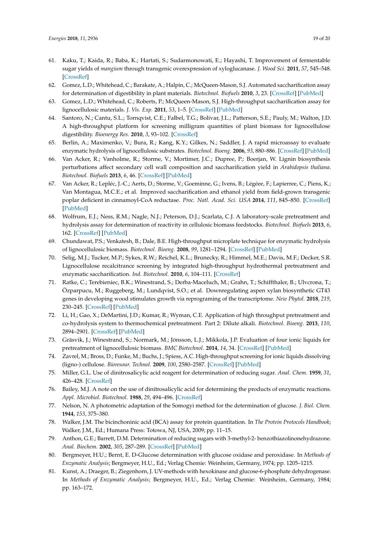- <span id="page-18-23"></span><span id="page-18-22"></span><span id="page-18-20"></span><span id="page-18-19"></span><span id="page-18-18"></span><span id="page-18-17"></span><span id="page-18-15"></span><span id="page-18-13"></span><span id="page-18-6"></span>61. Kaku, T.; Kaida, R.; Baba, K.; Hartati, S.; Sudarmonowati, E.; Hayashi, T. Improvement of fermentable sugar yields of *mangium* through transgenic overexpression of xyloglucanase. *J. Wood Sci.* **2011**, *57*, 545–548. [\[CrossRef\]](http://dx.doi.org/10.1007/s10086-011-1180-3)
- <span id="page-18-14"></span><span id="page-18-1"></span>62. Gomez, L.D.; Whitehead, C.; Barakate, A.; Halpin, C.; McQueen-Mason, S.J. Automated saccharification assay for determination of digestibility in plant materials. *Biotechnol. Biofuels* **2010**, *3*, 23. [\[CrossRef\]](http://dx.doi.org/10.1186/1754-6834-3-23) [\[PubMed\]](http://www.ncbi.nlm.nih.gov/pubmed/20979637)
- <span id="page-18-16"></span><span id="page-18-5"></span>63. Gomez, L.D.; Whitehead, C.; Roberts, P.; McQueen-Mason, S.J. High-throughput saccharification assay for lignocellulosic materials. *J. Vis. Exp.* **2011**, *53*, 1–5. [\[CrossRef\]](http://dx.doi.org/10.3791/3240) [\[PubMed\]](http://www.ncbi.nlm.nih.gov/pubmed/21750494)
- <span id="page-18-24"></span><span id="page-18-2"></span>64. Santoro, N.; Cantu, S.L.; Tornqvist, C.E.; Falbel, T.G.; Bolivar, J.L.; Patterson, S.E.; Pauly, M.; Walton, J.D. A high-throughput platform for screening milligram quantities of plant biomass for lignocellulose digestibility. *Bioenergy Res.* **2010**, *3*, 93–102. [\[CrossRef\]](http://dx.doi.org/10.1007/s12155-009-9074-6)
- <span id="page-18-3"></span>65. Berlin, A.; Maximenko, V.; Bura, R.; Kang, K.Y.; Gilkes, N.; Saddler, J. A rapid microassay to evaluate enzymatic hydrolysis of lignocellulosic substrates. *Biotechnol. Bioeng.* **2006**, *93*, 880–886. [\[CrossRef\]](http://dx.doi.org/10.1002/bit.20783) [\[PubMed\]](http://www.ncbi.nlm.nih.gov/pubmed/16345088)
- <span id="page-18-21"></span><span id="page-18-4"></span>66. Van Acker, R.; Vanholme, R.; Storme, V.; Mortimer, J.C.; Dupree, P.; Boerjan, W. Lignin biosynthesis perturbations affect secondary cell wall composition and saccharification yield in *Arabidopsis thaliana*. *Biotechnol. Biofuels* **2013**, *6*, 46. [\[CrossRef\]](http://dx.doi.org/10.1186/1754-6834-6-46) [\[PubMed\]](http://www.ncbi.nlm.nih.gov/pubmed/23622268)
- <span id="page-18-25"></span><span id="page-18-7"></span>67. Van Acker, R.; Lepléc, J.-C.; Aerts, D.; Storme, V.; Goeminne, G.; Ivens, B.; Légéee, F.; Lapierree, C.; Piens, K.; Van Montagua, M.C.E.; et al. Improved saccharification and ethanol yield from field-grown transgenic poplar deficient in cinnamoyl-CoA reductase. *Proc. Natl. Acad. Sci. USA* **2014**, *111*, 845–850. [\[CrossRef\]](http://dx.doi.org/10.1073/pnas.1321673111) [\[PubMed\]](http://www.ncbi.nlm.nih.gov/pubmed/24379366)
- <span id="page-18-8"></span>68. Wolfrum, E.J.; Ness, R.M.; Nagle, N.J.; Peterson, D.J.; Scarlata, C.J. A laboratory-scale pretreatment and hydrolysis assay for determination of reactivity in cellulosic biomass feedstocks. *Biotechnol. Biofuels* **2013**, *6*, 162. [\[CrossRef\]](http://dx.doi.org/10.1186/1754-6834-6-162) [\[PubMed\]](http://www.ncbi.nlm.nih.gov/pubmed/24229321)
- <span id="page-18-9"></span>69. Chundawat, P.S.; Venkatesh, B.; Dale, B.E. High-throughput microplate technique for enzymatic hydrolysis of lignocellulosic biomass. *Biotechnol. Bioeng.* **2008**, *99*, 1281–1294. [\[CrossRef\]](http://dx.doi.org/10.1002/bit.21805) [\[PubMed\]](http://www.ncbi.nlm.nih.gov/pubmed/18306256)
- <span id="page-18-10"></span>70. Selig, M.J.; Tucker, M.P.; Sykes, R.W.; Reichel, K.L.; Brunecky, R.; Himmel, M.E.; Davis, M.F.; Decker, S.R. Lignocellulose recalcitrance screening by integrated high-throughput hydrothermal pretreatment and enzymatic saccharification. *Ind. Biotechnol.* **2010**, *6*, 104–111. [\[CrossRef\]](http://dx.doi.org/10.1089/ind.2010.0009)
- <span id="page-18-12"></span>71. Ratke, C.; Terebieniec, B.K.; Winestrand, S.; Derba-Maceluch, M.; Grahn, T.; Schiffthaler, B.; Ulvcrona, T.; Özparpucu, M.; Ruggeberg, M.; Lundqvist, S.O.; et al. Downregulating aspen xylan biosynthetic GT43 genes in developing wood stimulates growth via reprograming of the transcriptome. *New Phytol.* **2018**, *219*, 230–245. [\[CrossRef\]](http://dx.doi.org/10.1111/nph.15160) [\[PubMed\]](http://www.ncbi.nlm.nih.gov/pubmed/29708593)
- 72. Li, H.; Gao, X.; DeMartini, J.D.; Kumar, R.; Wyman, C.E. Application of high throughput pretreatment and co-hydrolysis system to thermochemical pretreatment. Part 2: Dilute alkali. *Biotechnol. Bioeng.* **2013**, *110*, 2894–2901. [\[CrossRef\]](http://dx.doi.org/10.1002/bit.24951) [\[PubMed\]](http://www.ncbi.nlm.nih.gov/pubmed/23637060)
- <span id="page-18-0"></span>73. Gräsvik, J.; Winestrand, S.; Normark, M.; Jönsson, L.J.; Mikkola, J.P. Evaluation of four ionic liquids for pretreatment of lignocellulosic biomass. *BMC Biotechnol.* **2014**, *14*, 34. [\[CrossRef\]](http://dx.doi.org/10.1186/1472-6750-14-34) [\[PubMed\]](http://www.ncbi.nlm.nih.gov/pubmed/24779378)
- <span id="page-18-11"></span>74. Zavrel, M.; Bross, D.; Funke, M.; Buchs, J.; Spiess, A.C. High-throughput screening for ionic liquids dissolving (ligno-) cellulose. *Bioresour. Technol.* **2009**, *100*, 2580–2587. [\[CrossRef\]](http://dx.doi.org/10.1016/j.biortech.2008.11.052) [\[PubMed\]](http://www.ncbi.nlm.nih.gov/pubmed/19157872)
- <span id="page-18-26"></span>75. Miller, G.L. Use of dinitrosalicylic acid reagent for determination of reducing sugar. *Anal. Chem.* **1959**, *31*, 426–428. [\[CrossRef\]](http://dx.doi.org/10.1021/ac60147a030)
- <span id="page-18-27"></span>76. Bailey, M.J. A note on the use of dinitrosalicylic acid for determining the products of enzymatic reactions. *Appl. Microbiol. Biotechnol.* **1988**, *29*, 494–496. [\[CrossRef\]](http://dx.doi.org/10.1007/BF00269074)
- <span id="page-18-28"></span>77. Nelson, N. A photometric adaptation of the Somogyi method for the determination of glucose. *J. Biol. Chem.* **1944**, *153*, 375–380.
- <span id="page-18-29"></span>78. Walker, J.M. The bicinchoninic acid (BCA) assay for protein quantitation. In *The Protein Protocols Handbook*; Walker, J.M., Ed.; Humana Press: Totowa, NJ, USA, 2009; pp. 11–15.
- <span id="page-18-30"></span>79. Anthon, G.E.; Barrett, D.M. Determination of reducing sugars with 3-methyl-2- benzothiazolinonehydrazone. *Anal. Biochem.* **2002**, *305*, 287–289. [\[CrossRef\]](http://dx.doi.org/10.1006/abio.2002.5644) [\[PubMed\]](http://www.ncbi.nlm.nih.gov/pubmed/12054461)
- <span id="page-18-31"></span>80. Bergmeyer, H.U.; Bernt, E. D-Glucose determination with glucose oxidase and peroxidase. In *Methods of Enzymatic Analysis*; Bergmeyer, H.U., Ed.; Verlag Chemie: Weinheim, Germany, 1974; pp. 1205–1215.
- <span id="page-18-32"></span>81. Kunst, A.; Draeger, B.; Ziegenhorn, J. UV-methods with hexokinase and glucose-6-phosphate dehydrogenase. In *Methods of Enzymatic Analysis*; Bergmeyer, H.U., Ed.; Verlag Chemie: Weinheim, Germany, 1984; pp. 163–172.